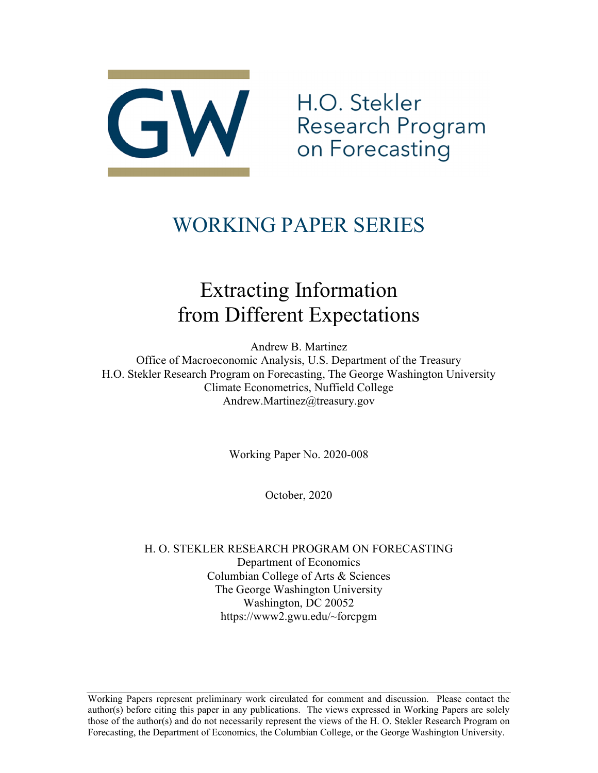

H.O. Stekler Research Program<br>on Forecasting

# WORKING PAPER SERIES

# Extracting Information from Different Expectations

Andrew B. Martinez

Office of Macroeconomic Analysis, U.S. Department of the Treasury H.O. Stekler Research Program on Forecasting, The George Washington University Climate Econometrics, Nuffield College Andrew.Martinez@treasury.gov

Working Paper No. 2020-008

October, 2020

H. O. STEKLER RESEARCH PROGRAM ON FORECASTING Department of Economics Columbian College of Arts & Sciences The George Washington University Washington, DC 20052 https://www2.gwu.edu/~forcpgm

Working Papers represent preliminary work circulated for comment and discussion. Please contact the author(s) before citing this paper in any publications. The views expressed in Working Papers are solely those of the author(s) and do not necessarily represent the views of the H. O. Stekler Research Program on Forecasting, the Department of Economics, the Columbian College, or the George Washington University.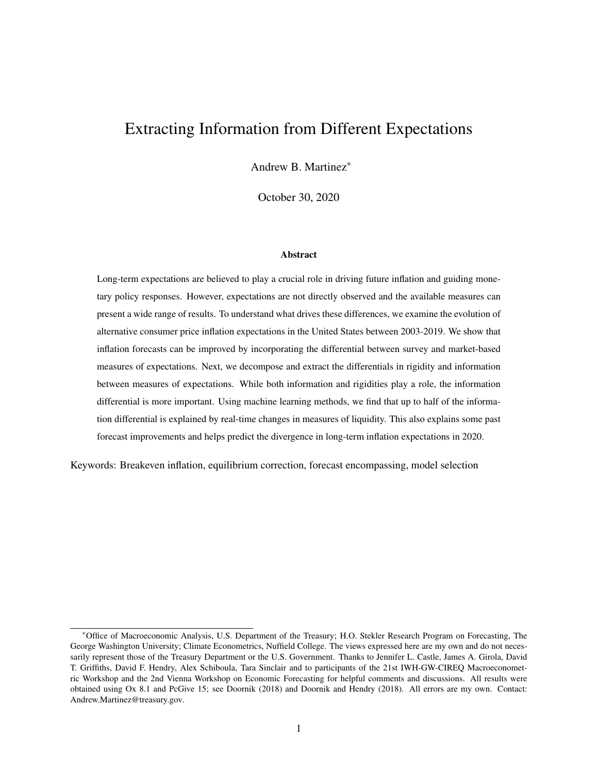## Extracting Information from Different Expectations

Andrew B. Martinez\*

October 30, 2020

#### Abstract

Long-term expectations are believed to play a crucial role in driving future inflation and guiding monetary policy responses. However, expectations are not directly observed and the available measures can present a wide range of results. To understand what drives these differences, we examine the evolution of alternative consumer price inflation expectations in the United States between 2003-2019. We show that inflation forecasts can be improved by incorporating the differential between survey and market-based measures of expectations. Next, we decompose and extract the differentials in rigidity and information between measures of expectations. While both information and rigidities play a role, the information differential is more important. Using machine learning methods, we find that up to half of the information differential is explained by real-time changes in measures of liquidity. This also explains some past forecast improvements and helps predict the divergence in long-term inflation expectations in 2020.

Keywords: Breakeven inflation, equilibrium correction, forecast encompassing, model selection

<sup>\*</sup>Office of Macroeconomic Analysis, U.S. Department of the Treasury; H.O. Stekler Research Program on Forecasting, The George Washington University; Climate Econometrics, Nuffield College. The views expressed here are my own and do not necessarily represent those of the Treasury Department or the U.S. Government. Thanks to Jennifer L. Castle, James A. Girola, David T. Griffiths, David F. Hendry, Alex Schiboula, Tara Sinclair and to participants of the 21st IWH-GW-CIREQ Macroeconometric Workshop and the 2nd Vienna Workshop on Economic Forecasting for helpful comments and discussions. All results were obtained using Ox 8.1 and PcGive 15; see Doornik (2018) and Doornik and Hendry (2018). All errors are my own. Contact: Andrew.Martinez@treasury.gov.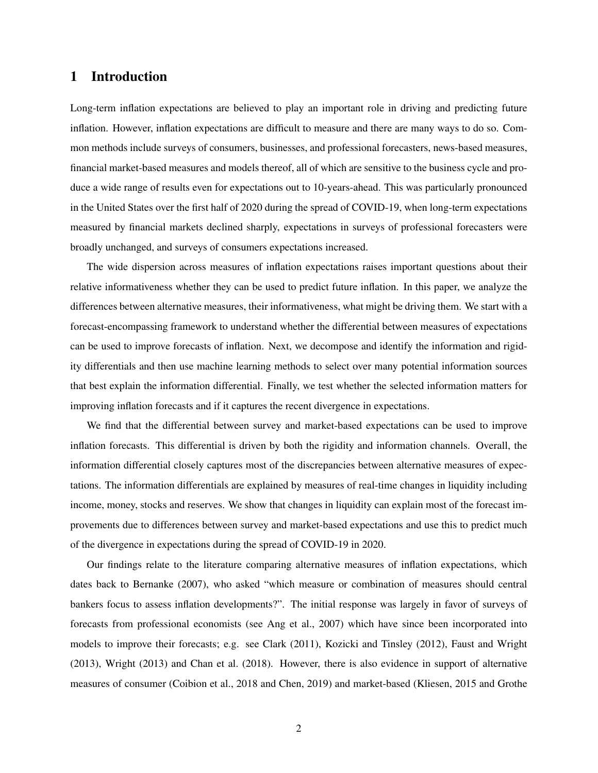## 1 Introduction

Long-term inflation expectations are believed to play an important role in driving and predicting future inflation. However, inflation expectations are difficult to measure and there are many ways to do so. Common methods include surveys of consumers, businesses, and professional forecasters, news-based measures, financial market-based measures and models thereof, all of which are sensitive to the business cycle and produce a wide range of results even for expectations out to 10-years-ahead. This was particularly pronounced in the United States over the first half of 2020 during the spread of COVID-19, when long-term expectations measured by financial markets declined sharply, expectations in surveys of professional forecasters were broadly unchanged, and surveys of consumers expectations increased.

The wide dispersion across measures of inflation expectations raises important questions about their relative informativeness whether they can be used to predict future inflation. In this paper, we analyze the differences between alternative measures, their informativeness, what might be driving them. We start with a forecast-encompassing framework to understand whether the differential between measures of expectations can be used to improve forecasts of inflation. Next, we decompose and identify the information and rigidity differentials and then use machine learning methods to select over many potential information sources that best explain the information differential. Finally, we test whether the selected information matters for improving inflation forecasts and if it captures the recent divergence in expectations.

We find that the differential between survey and market-based expectations can be used to improve inflation forecasts. This differential is driven by both the rigidity and information channels. Overall, the information differential closely captures most of the discrepancies between alternative measures of expectations. The information differentials are explained by measures of real-time changes in liquidity including income, money, stocks and reserves. We show that changes in liquidity can explain most of the forecast improvements due to differences between survey and market-based expectations and use this to predict much of the divergence in expectations during the spread of COVID-19 in 2020.

Our findings relate to the literature comparing alternative measures of inflation expectations, which dates back to Bernanke (2007), who asked "which measure or combination of measures should central bankers focus to assess inflation developments?". The initial response was largely in favor of surveys of forecasts from professional economists (see Ang et al., 2007) which have since been incorporated into models to improve their forecasts; e.g. see Clark (2011), Kozicki and Tinsley (2012), Faust and Wright (2013), Wright (2013) and Chan et al. (2018). However, there is also evidence in support of alternative measures of consumer (Coibion et al., 2018 and Chen, 2019) and market-based (Kliesen, 2015 and Grothe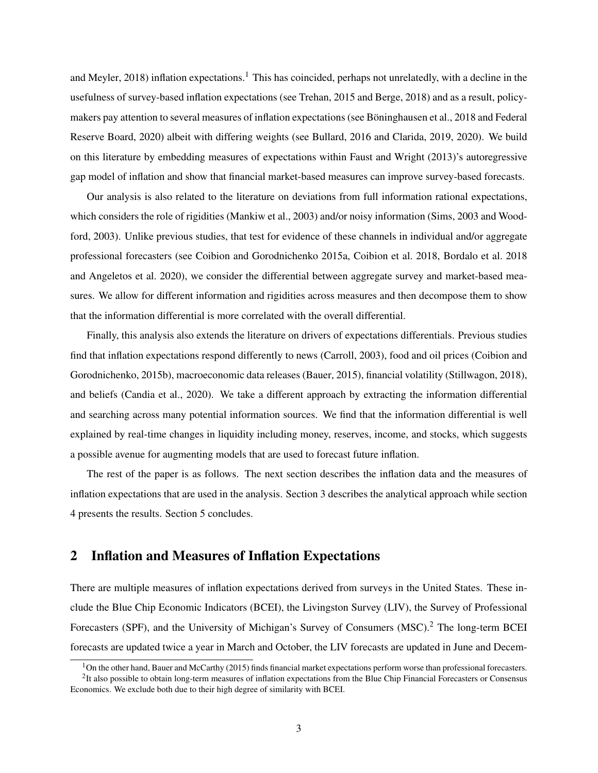and Meyler, 2018) inflation expectations.<sup>1</sup> This has coincided, perhaps not unrelatedly, with a decline in the usefulness of survey-based inflation expectations (see Trehan, 2015 and Berge, 2018) and as a result, policymakers pay attention to several measures of inflation expectations (see Böninghausen et al., 2018 and Federal Reserve Board, 2020) albeit with differing weights (see Bullard, 2016 and Clarida, 2019, 2020). We build on this literature by embedding measures of expectations within Faust and Wright (2013)'s autoregressive gap model of inflation and show that financial market-based measures can improve survey-based forecasts.

Our analysis is also related to the literature on deviations from full information rational expectations, which considers the role of rigidities (Mankiw et al., 2003) and/or noisy information (Sims, 2003 and Woodford, 2003). Unlike previous studies, that test for evidence of these channels in individual and/or aggregate professional forecasters (see Coibion and Gorodnichenko 2015a, Coibion et al. 2018, Bordalo et al. 2018 and Angeletos et al. 2020), we consider the differential between aggregate survey and market-based measures. We allow for different information and rigidities across measures and then decompose them to show that the information differential is more correlated with the overall differential.

Finally, this analysis also extends the literature on drivers of expectations differentials. Previous studies find that inflation expectations respond differently to news (Carroll, 2003), food and oil prices (Coibion and Gorodnichenko, 2015b), macroeconomic data releases (Bauer, 2015), financial volatility (Stillwagon, 2018), and beliefs (Candia et al., 2020). We take a different approach by extracting the information differential and searching across many potential information sources. We find that the information differential is well explained by real-time changes in liquidity including money, reserves, income, and stocks, which suggests a possible avenue for augmenting models that are used to forecast future inflation.

The rest of the paper is as follows. The next section describes the inflation data and the measures of inflation expectations that are used in the analysis. Section 3 describes the analytical approach while section 4 presents the results. Section 5 concludes.

### 2 Inflation and Measures of Inflation Expectations

There are multiple measures of inflation expectations derived from surveys in the United States. These include the Blue Chip Economic Indicators (BCEI), the Livingston Survey (LIV), the Survey of Professional Forecasters (SPF), and the University of Michigan's Survey of Consumers (MSC).<sup>2</sup> The long-term BCEI forecasts are updated twice a year in March and October, the LIV forecasts are updated in June and Decem-

 $1$ On the other hand, Bauer and McCarthy (2015) finds financial market expectations perform worse than professional forecasters.

<sup>&</sup>lt;sup>2</sup>It also possible to obtain long-term measures of inflation expectations from the Blue Chip Financial Forecasters or Consensus Economics. We exclude both due to their high degree of similarity with BCEI.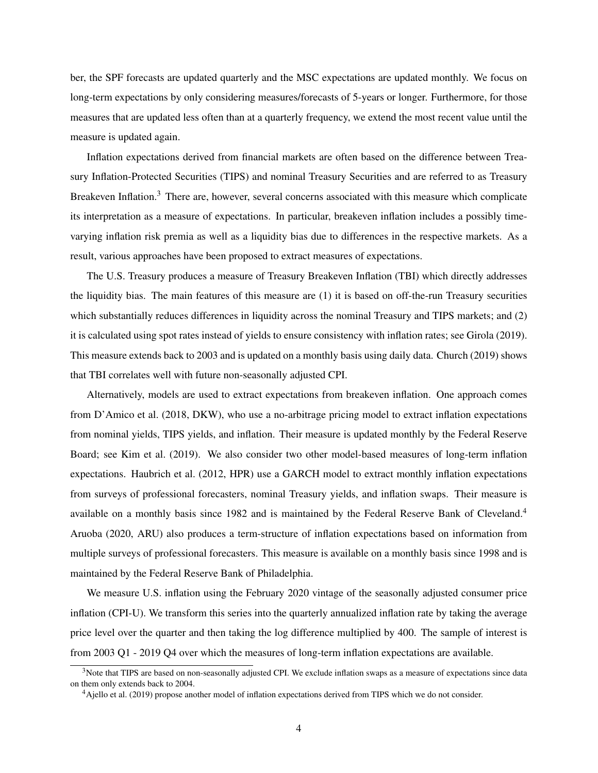ber, the SPF forecasts are updated quarterly and the MSC expectations are updated monthly. We focus on long-term expectations by only considering measures/forecasts of 5-years or longer. Furthermore, for those measures that are updated less often than at a quarterly frequency, we extend the most recent value until the measure is updated again.

Inflation expectations derived from financial markets are often based on the difference between Treasury Inflation-Protected Securities (TIPS) and nominal Treasury Securities and are referred to as Treasury Breakeven Inflation.<sup>3</sup> There are, however, several concerns associated with this measure which complicate its interpretation as a measure of expectations. In particular, breakeven inflation includes a possibly timevarying inflation risk premia as well as a liquidity bias due to differences in the respective markets. As a result, various approaches have been proposed to extract measures of expectations.

The U.S. Treasury produces a measure of Treasury Breakeven Inflation (TBI) which directly addresses the liquidity bias. The main features of this measure are (1) it is based on off-the-run Treasury securities which substantially reduces differences in liquidity across the nominal Treasury and TIPS markets; and (2) it is calculated using spot rates instead of yields to ensure consistency with inflation rates; see Girola (2019). This measure extends back to 2003 and is updated on a monthly basis using daily data. Church (2019) shows that TBI correlates well with future non-seasonally adjusted CPI.

Alternatively, models are used to extract expectations from breakeven inflation. One approach comes from D'Amico et al. (2018, DKW), who use a no-arbitrage pricing model to extract inflation expectations from nominal yields, TIPS yields, and inflation. Their measure is updated monthly by the Federal Reserve Board; see Kim et al. (2019). We also consider two other model-based measures of long-term inflation expectations. Haubrich et al. (2012, HPR) use a GARCH model to extract monthly inflation expectations from surveys of professional forecasters, nominal Treasury yields, and inflation swaps. Their measure is available on a monthly basis since 1982 and is maintained by the Federal Reserve Bank of Cleveland.<sup>4</sup> Aruoba (2020, ARU) also produces a term-structure of inflation expectations based on information from multiple surveys of professional forecasters. This measure is available on a monthly basis since 1998 and is maintained by the Federal Reserve Bank of Philadelphia.

We measure U.S. inflation using the February 2020 vintage of the seasonally adjusted consumer price inflation (CPI-U). We transform this series into the quarterly annualized inflation rate by taking the average price level over the quarter and then taking the log difference multiplied by 400. The sample of interest is from 2003 Q1 - 2019 Q4 over which the measures of long-term inflation expectations are available.

<sup>&</sup>lt;sup>3</sup>Note that TIPS are based on non-seasonally adjusted CPI. We exclude inflation swaps as a measure of expectations since data on them only extends back to 2004.

<sup>4</sup>Ajello et al. (2019) propose another model of inflation expectations derived from TIPS which we do not consider.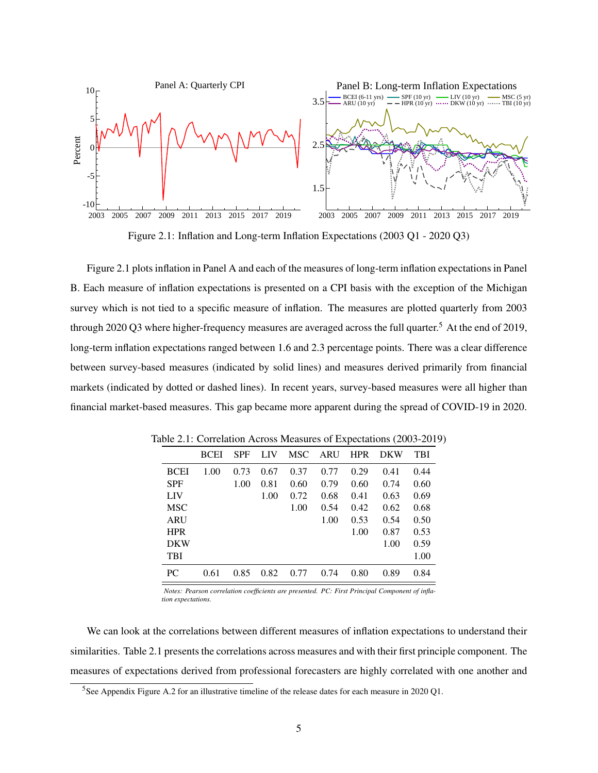

Figure 2.1: Inflation and Long-term Inflation Expectations (2003 Q1 - 2020 Q3)

Figure 2.1 plots inflation in Panel A and each of the measures of long-term inflation expectations in Panel B. Each measure of inflation expectations is presented on a CPI basis with the exception of the Michigan survey which is not tied to a specific measure of inflation. The measures are plotted quarterly from 2003 through 2020 Q3 where higher-frequency measures are averaged across the full quarter.<sup>5</sup> At the end of 2019, long-term inflation expectations ranged between 1.6 and 2.3 percentage points. There was a clear difference between survey-based measures (indicated by solid lines) and measures derived primarily from financial markets (indicated by dotted or dashed lines). In recent years, survey-based measures were all higher than financial market-based measures. This gap became more apparent during the spread of COVID-19 in 2020.

|             | <b>BCEI</b> | <b>SPF</b> | LIV  | <b>MSC</b> | ARU  | <b>HPR</b> | <b>DKW</b> | TBI  |
|-------------|-------------|------------|------|------------|------|------------|------------|------|
| <b>BCEI</b> | 1.00        | 0.73       | 0.67 | 0.37       | 0.77 | 0.29       | 0.41       | 0.44 |
| <b>SPF</b>  |             | 1.00       | 0.81 | 0.60       | 0.79 | 0.60       | 0.74       | 0.60 |
| LIV         |             |            | 1.00 | 0.72       | 0.68 | 0.41       | 0.63       | 0.69 |
| <b>MSC</b>  |             |            |      | 1.00       | 0.54 | 0.42       | 0.62       | 0.68 |
| ARU         |             |            |      |            | 1.00 | 0.53       | 0.54       | 0.50 |
| <b>HPR</b>  |             |            |      |            |      | 1.00       | 0.87       | 0.53 |
| <b>DKW</b>  |             |            |      |            |      |            | 1.00       | 0.59 |
| <b>TBI</b>  |             |            |      |            |      |            |            | 1.00 |
| PC          | 0.61        | 0.85       | 0.82 | 0.77       | 0.74 | 0.80       | 0.89       | 0.84 |

Table 2.1: Correlation Across Measures of Expectations (2003-2019)

*Notes: Pearson correlation coefficients are presented. PC: First Principal Component of inflation expectations.*

We can look at the correlations between different measures of inflation expectations to understand their similarities. Table 2.1 presents the correlations across measures and with their first principle component. The measures of expectations derived from professional forecasters are highly correlated with one another and

<sup>5</sup>See Appendix Figure A.2 for an illustrative timeline of the release dates for each measure in 2020 Q1.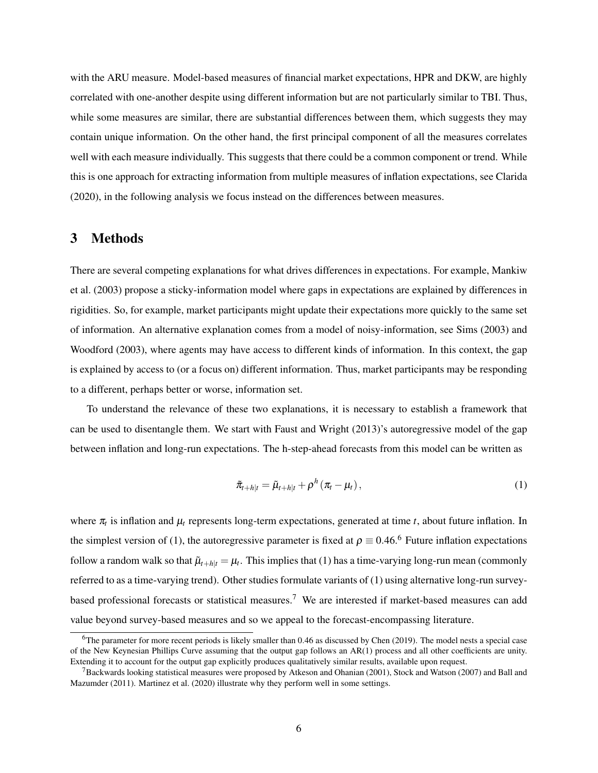with the ARU measure. Model-based measures of financial market expectations, HPR and DKW, are highly correlated with one-another despite using different information but are not particularly similar to TBI. Thus, while some measures are similar, there are substantial differences between them, which suggests they may contain unique information. On the other hand, the first principal component of all the measures correlates well with each measure individually. This suggests that there could be a common component or trend. While this is one approach for extracting information from multiple measures of inflation expectations, see Clarida (2020), in the following analysis we focus instead on the differences between measures.

## 3 Methods

There are several competing explanations for what drives differences in expectations. For example, Mankiw et al. (2003) propose a sticky-information model where gaps in expectations are explained by differences in rigidities. So, for example, market participants might update their expectations more quickly to the same set of information. An alternative explanation comes from a model of noisy-information, see Sims (2003) and Woodford (2003), where agents may have access to different kinds of information. In this context, the gap is explained by access to (or a focus on) different information. Thus, market participants may be responding to a different, perhaps better or worse, information set.

To understand the relevance of these two explanations, it is necessary to establish a framework that can be used to disentangle them. We start with Faust and Wright (2013)'s autoregressive model of the gap between inflation and long-run expectations. The h-step-ahead forecasts from this model can be written as

$$
\tilde{\pi}_{t+h|t} = \tilde{\mu}_{t+h|t} + \rho^h \left( \pi_t - \mu_t \right), \tag{1}
$$

where  $\pi_t$  is inflation and  $\mu_t$  represents long-term expectations, generated at time *t*, about future inflation. In the simplest version of (1), the autoregressive parameter is fixed at  $\rho \equiv 0.46$ .<sup>6</sup> Future inflation expectations follow a random walk so that  $\tilde{\mu}_{t+h|t} = \mu_t$ . This implies that (1) has a time-varying long-run mean (commonly referred to as a time-varying trend). Other studies formulate variants of (1) using alternative long-run surveybased professional forecasts or statistical measures.<sup>7</sup> We are interested if market-based measures can add value beyond survey-based measures and so we appeal to the forecast-encompassing literature.

<sup>6</sup>The parameter for more recent periods is likely smaller than 0.46 as discussed by Chen (2019). The model nests a special case of the New Keynesian Phillips Curve assuming that the output gap follows an AR(1) process and all other coefficients are unity. Extending it to account for the output gap explicitly produces qualitatively similar results, available upon request.

 $7B$ ackwards looking statistical measures were proposed by Atkeson and Ohanian (2001), Stock and Watson (2007) and Ball and Mazumder (2011). Martinez et al. (2020) illustrate why they perform well in some settings.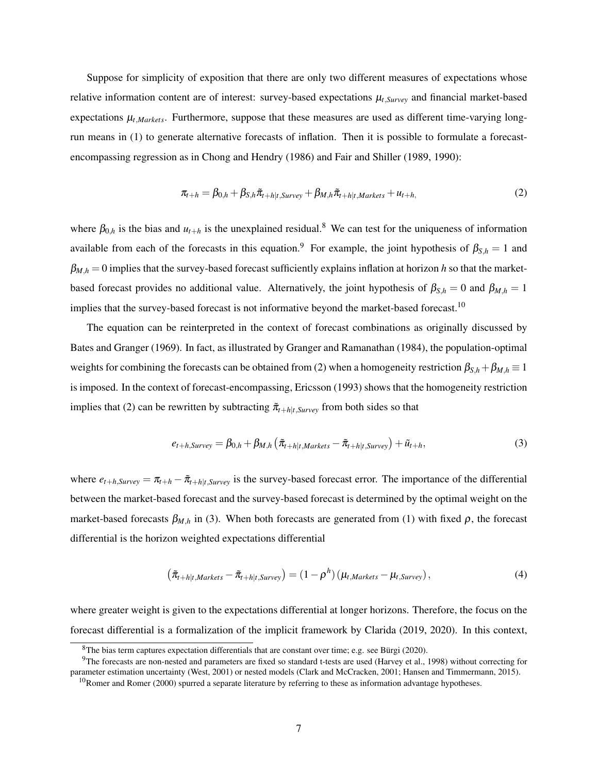Suppose for simplicity of exposition that there are only two different measures of expectations whose relative information content are of interest: survey-based expectations  $\mu_{t, Survey}$  and financial market-based expectations  $\mu_{t,Markets}$ . Furthermore, suppose that these measures are used as different time-varying longrun means in (1) to generate alternative forecasts of inflation. Then it is possible to formulate a forecastencompassing regression as in Chong and Hendry (1986) and Fair and Shiller (1989, 1990):

$$
\pi_{t+h} = \beta_{0,h} + \beta_{S,h}\tilde{\pi}_{t+h|t,Surve} + \beta_{M,h}\tilde{\pi}_{t+h|t,Markets} + u_{t+h},
$$
\n(2)

where  $\beta_{0,h}$  is the bias and  $u_{t+h}$  is the unexplained residual.<sup>8</sup> We can test for the uniqueness of information available from each of the forecasts in this equation.<sup>9</sup> For example, the joint hypothesis of  $\beta_{S,h} = 1$  and  $\beta_{M,h} = 0$  implies that the survey-based forecast sufficiently explains inflation at horizon *h* so that the marketbased forecast provides no additional value. Alternatively, the joint hypothesis of  $\beta_{S,h} = 0$  and  $\beta_{M,h} = 1$ implies that the survey-based forecast is not informative beyond the market-based forecast.<sup>10</sup>

The equation can be reinterpreted in the context of forecast combinations as originally discussed by Bates and Granger (1969). In fact, as illustrated by Granger and Ramanathan (1984), the population-optimal weights for combining the forecasts can be obtained from (2) when a homogeneity restriction  $\beta_{S,h} + \beta_{M,h} \equiv 1$ is imposed. In the context of forecast-encompassing, Ericsson (1993) shows that the homogeneity restriction implies that (2) can be rewritten by subtracting  $\tilde{\pi}_{t+h|t,Surve}$  from both sides so that

$$
e_{t+h,Survey} = \beta_{0,h} + \beta_{M,h} \left( \tilde{\pi}_{t+h|t,Markets} - \tilde{\pi}_{t+h|t,Survey} \right) + \tilde{u}_{t+h},
$$
\n(3)

where  $e_{t+h,Surve} = \pi_{t+h} - \tilde{\pi}_{t+h|t,Surve}$  is the survey-based forecast error. The importance of the differential between the market-based forecast and the survey-based forecast is determined by the optimal weight on the market-based forecasts  $\beta_{M,h}$  in (3). When both forecasts are generated from (1) with fixed  $\rho$ , the forecast differential is the horizon weighted expectations differential

$$
\left(\tilde{\pi}_{t+h|t,Markets} - \tilde{\pi}_{t+h|t, Survey}\right) = \left(1 - \rho^h\right)\left(\mu_{t,Markets} - \mu_{t, Survey}\right),\tag{4}
$$

where greater weight is given to the expectations differential at longer horizons. Therefore, the focus on the forecast differential is a formalization of the implicit framework by Clarida (2019, 2020). In this context,

<sup>8</sup>The bias term captures expectation differentials that are constant over time; e.g. see Bürgi (2020).

<sup>9</sup>The forecasts are non-nested and parameters are fixed so standard t-tests are used (Harvey et al., 1998) without correcting for parameter estimation uncertainty (West, 2001) or nested models (Clark and McCracken, 2001; Hansen and Timmermann, 2015).

 $10$ Romer and Romer (2000) spurred a separate literature by referring to these as information advantage hypotheses.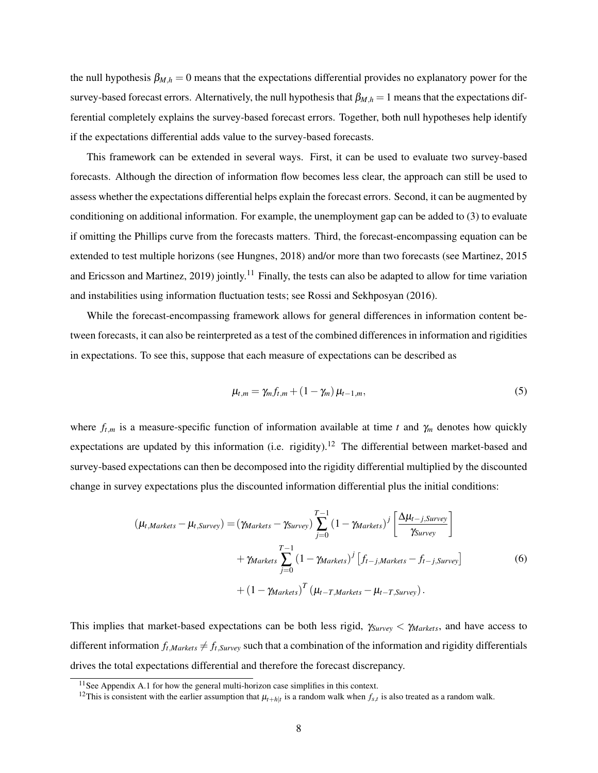the null hypothesis  $\beta_{M,h} = 0$  means that the expectations differential provides no explanatory power for the survey-based forecast errors. Alternatively, the null hypothesis that  $\beta_{M,h} = 1$  means that the expectations differential completely explains the survey-based forecast errors. Together, both null hypotheses help identify if the expectations differential adds value to the survey-based forecasts.

This framework can be extended in several ways. First, it can be used to evaluate two survey-based forecasts. Although the direction of information flow becomes less clear, the approach can still be used to assess whether the expectations differential helps explain the forecast errors. Second, it can be augmented by conditioning on additional information. For example, the unemployment gap can be added to (3) to evaluate if omitting the Phillips curve from the forecasts matters. Third, the forecast-encompassing equation can be extended to test multiple horizons (see Hungnes, 2018) and/or more than two forecasts (see Martinez, 2015 and Ericsson and Martinez, 2019) jointly.<sup>11</sup> Finally, the tests can also be adapted to allow for time variation and instabilities using information fluctuation tests; see Rossi and Sekhposyan (2016).

While the forecast-encompassing framework allows for general differences in information content between forecasts, it can also be reinterpreted as a test of the combined differences in information and rigidities in expectations. To see this, suppose that each measure of expectations can be described as

$$
\mu_{t,m} = \gamma_m f_{t,m} + (1 - \gamma_m) \mu_{t-1,m},\tag{5}
$$

where  $f_{t,m}$  is a measure-specific function of information available at time *t* and  $\gamma_m$  denotes how quickly expectations are updated by this information (i.e. rigidity).<sup>12</sup> The differential between market-based and survey-based expectations can then be decomposed into the rigidity differential multiplied by the discounted change in survey expectations plus the discounted information differential plus the initial conditions:

$$
(\mu_{t,Markets} - \mu_{t,Survey}) = (\gamma_{Markets} - \gamma_{Survey}) \sum_{j=0}^{T-1} (1 - \gamma_{Markets})^j \left[ \frac{\Delta \mu_{t-j, Survey}}{\gamma_{Survey}} \right]
$$

$$
+ \gamma_{Markets} \sum_{j=0}^{T-1} (1 - \gamma_{Markets})^j \left[ f_{t-j, Markets} - f_{t-j, Survey} \right]
$$
(6)
$$
+ (1 - \gamma_{Markets})^T (\mu_{t-T, Markets} - \mu_{t-T, Survey}).
$$

This implies that market-based expectations can be both less rigid, γ*Survey* < γ*Markets*, and have access to different information  $f_t$ ,*Markets*  $\neq f_t$ , *Survey* such that a combination of the information and rigidity differentials drives the total expectations differential and therefore the forecast discrepancy.

<sup>&</sup>lt;sup>11</sup> See Appendix A.1 for how the general multi-horizon case simplifies in this context.

<sup>&</sup>lt;sup>12</sup>This is consistent with the earlier assumption that  $\mu_{t+h|t}$  is a random walk when  $f_{s,t}$  is also treated as a random walk.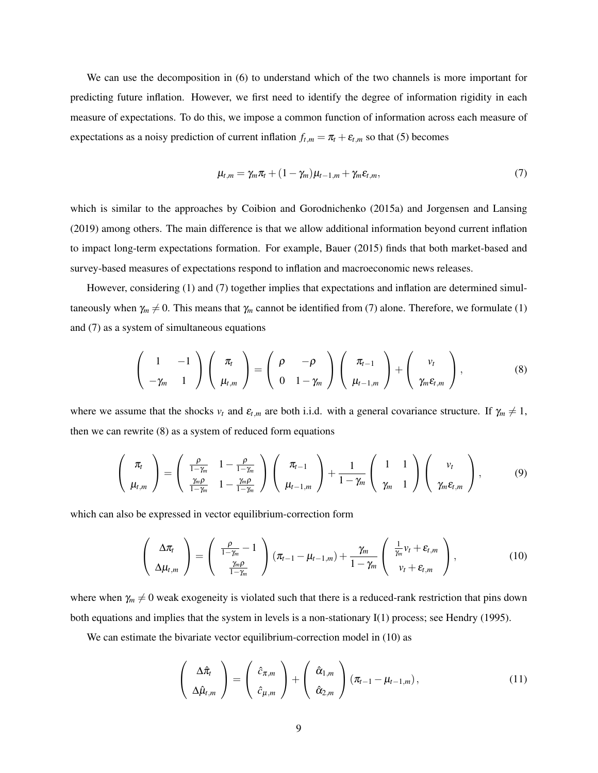We can use the decomposition in (6) to understand which of the two channels is more important for predicting future inflation. However, we first need to identify the degree of information rigidity in each measure of expectations. To do this, we impose a common function of information across each measure of expectations as a noisy prediction of current inflation  $f_{t,m} = \pi_t + \varepsilon_{t,m}$  so that (5) becomes

$$
\mu_{t,m} = \gamma_m \pi_t + (1 - \gamma_m) \mu_{t-1,m} + \gamma_m \varepsilon_{t,m}, \tag{7}
$$

which is similar to the approaches by Coibion and Gorodnichenko (2015a) and Jorgensen and Lansing (2019) among others. The main difference is that we allow additional information beyond current inflation to impact long-term expectations formation. For example, Bauer (2015) finds that both market-based and survey-based measures of expectations respond to inflation and macroeconomic news releases.

However, considering (1) and (7) together implies that expectations and inflation are determined simultaneously when  $\gamma_m \neq 0$ . This means that  $\gamma_m$  cannot be identified from (7) alone. Therefore, we formulate (1) and (7) as a system of simultaneous equations

$$
\left(\begin{array}{cc}1 & -1 \\ -\gamma_m & 1\end{array}\right)\left(\begin{array}{c}\pi_t \\ \mu_{t,m}\end{array}\right)=\left(\begin{array}{cc}\rho & -\rho \\ 0 & 1-\gamma_m\end{array}\right)\left(\begin{array}{c}\pi_{t-1} \\ \mu_{t-1,m}\end{array}\right)+\left(\begin{array}{c}\nu_t \\ \gamma_m\varepsilon_{t,m}\end{array}\right),\tag{8}
$$

where we assume that the shocks  $v_t$  and  $\varepsilon_{t,m}$  are both i.i.d. with a general covariance structure. If  $\gamma_m \neq 1$ , then we can rewrite (8) as a system of reduced form equations

$$
\begin{pmatrix} \pi_t \\ \mu_{t,m} \end{pmatrix} = \begin{pmatrix} \frac{\rho}{1-\gamma_m} & 1 - \frac{\rho}{1-\gamma_m} \\ \frac{\gamma_m \rho}{1-\gamma_m} & 1 - \frac{\gamma_m \rho}{1-\gamma_m} \end{pmatrix} \begin{pmatrix} \pi_{t-1} \\ \mu_{t-1,m} \end{pmatrix} + \frac{1}{1-\gamma_m} \begin{pmatrix} 1 & 1 \\ \gamma_m & 1 \end{pmatrix} \begin{pmatrix} v_t \\ \gamma_m \varepsilon_{t,m} \end{pmatrix}, \qquad (9)
$$

which can also be expressed in vector equilibrium-correction form

$$
\left(\begin{array}{c}\Delta \pi_t \\ \Delta \mu_{t,m}\end{array}\right) = \left(\begin{array}{c}\frac{\rho}{1-\gamma_m}-1 \\ \frac{\gamma_m \rho}{1-\gamma_m}\end{array}\right) (\pi_{t-1}-\mu_{t-1,m}) + \frac{\gamma_m}{1-\gamma_m} \left(\begin{array}{c}\frac{1}{\gamma_m}v_t + \varepsilon_{t,m} \\ v_t + \varepsilon_{t,m}\end{array}\right),\tag{10}
$$

where when  $\gamma_m \neq 0$  weak exogeneity is violated such that there is a reduced-rank restriction that pins down both equations and implies that the system in levels is a non-stationary I(1) process; see Hendry (1995).

We can estimate the bivariate vector equilibrium-correction model in (10) as

$$
\begin{pmatrix}\n\Delta \hat{\pi}_t \\
\Delta \hat{\mu}_{t,m}\n\end{pmatrix} = \begin{pmatrix}\n\hat{c}_{\pi,m} \\
\hat{c}_{\mu,m}\n\end{pmatrix} + \begin{pmatrix}\n\hat{\alpha}_{1,m} \\
\hat{\alpha}_{2,m}\n\end{pmatrix} (\pi_{t-1} - \mu_{t-1,m}),
$$
\n(11)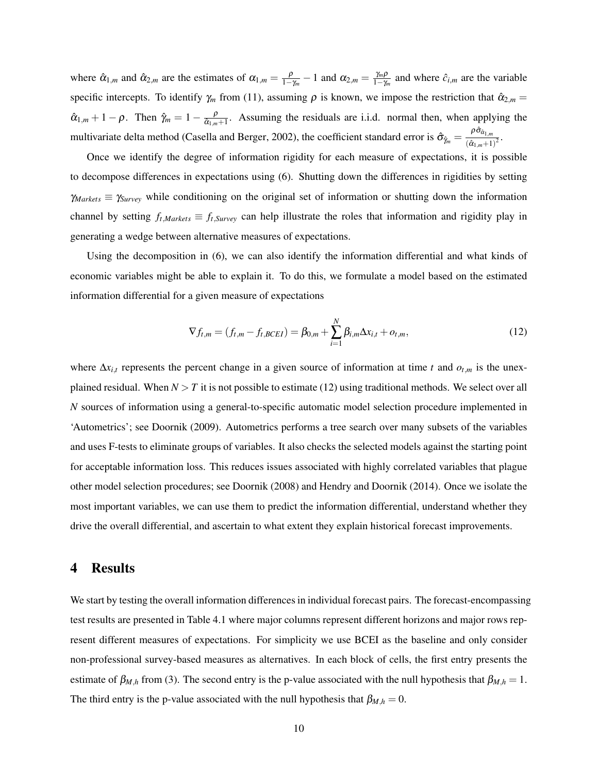where  $\hat{\alpha}_{1,m}$  and  $\hat{\alpha}_{2,m}$  are the estimates of  $\alpha_{1,m} = \frac{\rho}{1-\rho}$  $\frac{\rho}{1-\gamma_m}-1$  and  $\alpha_{2,m}=\frac{\gamma_m\rho}{1-\gamma_m}$  $\frac{\gamma_m p}{1-\gamma_m}$  and where  $\hat{c}_{i,m}$  are the variable specific intercepts. To identify  $\gamma_m$  from (11), assuming  $\rho$  is known, we impose the restriction that  $\hat{\alpha}_{2,m}$  =  $\hat{\alpha}_{1,m} + 1 - \rho$ . Then  $\hat{\gamma}_m = 1 - \frac{\rho}{\hat{\alpha}_{1,m}}$  $\frac{p}{\hat{\alpha}_{1,m+1}}$ . Assuming the residuals are i.i.d. normal then, when applying the multivariate delta method (Casella and Berger, 2002), the coefficient standard error is  $\hat{\sigma}_{\hat{j}_m} = \frac{\rho \hat{\sigma}_{\hat{\alpha}_{1,m}}}{(\hat{\alpha}_{1,m}+1)}$  $\frac{r-a_{1,m}}{(\hat{\alpha}_{1,m}+1)^2}$ 

Once we identify the degree of information rigidity for each measure of expectations, it is possible to decompose differences in expectations using (6). Shutting down the differences in rigidities by setting  $\gamma_{Markets} \equiv \gamma_{Survey}$  while conditioning on the original set of information or shutting down the information channel by setting  $f_{t,Markets} \equiv f_{t,Survey}$  can help illustrate the roles that information and rigidity play in generating a wedge between alternative measures of expectations.

Using the decomposition in (6), we can also identify the information differential and what kinds of economic variables might be able to explain it. To do this, we formulate a model based on the estimated information differential for a given measure of expectations

$$
\nabla f_{t,m} = (f_{t,m} - f_{t,BCEI}) = \beta_{0,m} + \sum_{i=1}^{N} \beta_{i,m} \Delta x_{i,t} + o_{t,m},
$$
\n(12)

where  $\Delta x_{i,t}$  represents the percent change in a given source of information at time *t* and  $o_{t,m}$  is the unexplained residual. When  $N > T$  it is not possible to estimate (12) using traditional methods. We select over all *N* sources of information using a general-to-specific automatic model selection procedure implemented in 'Autometrics'; see Doornik (2009). Autometrics performs a tree search over many subsets of the variables and uses F-tests to eliminate groups of variables. It also checks the selected models against the starting point for acceptable information loss. This reduces issues associated with highly correlated variables that plague other model selection procedures; see Doornik (2008) and Hendry and Doornik (2014). Once we isolate the most important variables, we can use them to predict the information differential, understand whether they drive the overall differential, and ascertain to what extent they explain historical forecast improvements.

### 4 Results

We start by testing the overall information differences in individual forecast pairs. The forecast-encompassing test results are presented in Table 4.1 where major columns represent different horizons and major rows represent different measures of expectations. For simplicity we use BCEI as the baseline and only consider non-professional survey-based measures as alternatives. In each block of cells, the first entry presents the estimate of  $\beta_{M,h}$  from (3). The second entry is the p-value associated with the null hypothesis that  $\beta_{M,h} = 1$ . The third entry is the p-value associated with the null hypothesis that  $\beta_{M,h} = 0$ .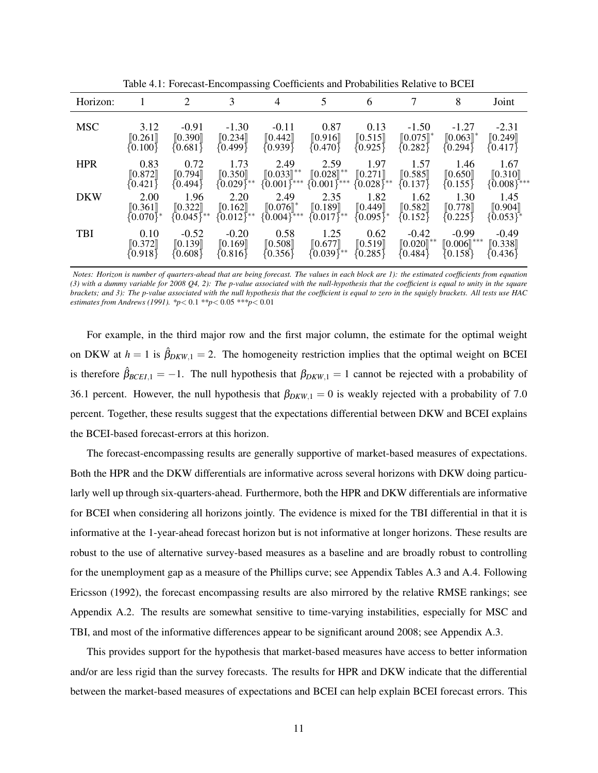| Horizon:   |                                                      | 2                                         | 3                                 | 4                                         | 5                                                         | 6                                 | 7                                                | 8                                       | Joint                                                 |
|------------|------------------------------------------------------|-------------------------------------------|-----------------------------------|-------------------------------------------|-----------------------------------------------------------|-----------------------------------|--------------------------------------------------|-----------------------------------------|-------------------------------------------------------|
| <b>MSC</b> | 3.12<br>[0.261]<br>$\{0.100\}$                       | $-0.91$<br>[0.390]<br>${0.681}$           | $-1.30$<br>[0.234]<br>{0.499}     | $-0.11$<br>[0.442]<br>{0.939}             | 0.87<br>[0.916]<br>${0.470}$                              | 0.13<br>[0.515]<br>${0.925}$      | $-1.50$<br>$[0.075]$ <sup>*</sup><br>$\{0.282\}$ | $-1.27$<br>$[0.063]$ *<br>$\{0.294\}$   | $-2.31$<br>$\llbracket 0.249 \rrbracket$<br>${0.417}$ |
| <b>HPR</b> | 0.83<br>$\llbracket 0.872 \rrbracket$<br>${0.421}$   | 0.72<br>[0.794]<br>{0.494}                | 1.73<br>[0.350]<br>${0.029}^{**}$ | 2.49<br>$[0.033]^{**}$<br>$\{0.001\}$ *** | 2.59<br>$[0.028]^{**}$<br>{0.001}***                      | 1.97<br>[0.271]<br>${0.028}^{**}$ | 1.57<br>[0.585]<br>$\{0.137\}$                   | 1.46<br>[0.650]<br>$\{0.155\}$          | 1.67<br>[0.310]<br>$\{0.008\}$ ***                    |
| <b>DKW</b> | 2.00<br>$\llbracket 0.361 \rrbracket$<br>$[0.070]^*$ | 1.96<br>[0.322]<br>$10.045$ <sup>**</sup> | 2.20<br>[0.162]<br>$[0.012]^{**}$ | 2.49<br>$[0.076]$ *<br>{0.004}***         | 2.35<br>$\begin{bmatrix} 0.189 \\ 0.017 \end{bmatrix}$ ** | 1.82<br>[0.449]<br>$(0.095)^*$    | 1.62<br>[0.582]<br>$\{0.152\}$                   | 1.30<br>[0.778]<br>${0.225}$            | 1.45<br>[0.904]<br>$\{0.053\}^*$                      |
| <b>TBI</b> | 0.10<br>[0.372]<br>(0.918)                           | $-0.52$<br>[0.139]<br>$\{0.608\}$         | $-0.20$<br>[0.169]<br>${0.816}$   | 0.58<br>[0.508]<br>${0.356}$              | 1.25<br>[0.677]<br>${0.039}$ **                           | 0.62<br>[0.519]<br>${0.285}$      | $-0.42$<br>$[0.020]^{**}$<br>10.484)             | $-0.99$<br>$[0.006]$ ***<br>$\{0.158\}$ | $-0.49$<br>[0.338]<br>${0.436}\$                      |
|            |                                                      |                                           |                                   |                                           |                                                           |                                   |                                                  |                                         |                                                       |

Table 4.1: Forecast-Encompassing Coefficients and Probabilities Relative to BCEI

*Notes: Horizon is number of quarters-ahead that are being forecast. The values in each block are 1): the estimated coefficients from equation (3) with a dummy variable for 2008 Q4, 2): The p-value associated with the null-hypothesis that the coefficient is equal to unity in the square brackets; and 3): The p-value associated with the null hypothesis that the coefficient is equal to zero in the squigly brackets. All tests use HAC estimates from Andrews (1991). \*p*< 0.1 *\*\*p*< 0.05 *\*\*\*p*< 0.01

For example, in the third major row and the first major column, the estimate for the optimal weight on DKW at  $h = 1$  is  $\hat{\beta}_{DKW,1} = 2$ . The homogeneity restriction implies that the optimal weight on BCEI is therefore  $\hat{\beta}_{BCEL,1} = -1$ . The null hypothesis that  $\beta_{DKW,1} = 1$  cannot be rejected with a probability of 36.1 percent. However, the null hypothesis that  $\beta_{DKW,1}=0$  is weakly rejected with a probability of 7.0 percent. Together, these results suggest that the expectations differential between DKW and BCEI explains the BCEI-based forecast-errors at this horizon.

The forecast-encompassing results are generally supportive of market-based measures of expectations. Both the HPR and the DKW differentials are informative across several horizons with DKW doing particularly well up through six-quarters-ahead. Furthermore, both the HPR and DKW differentials are informative for BCEI when considering all horizons jointly. The evidence is mixed for the TBI differential in that it is informative at the 1-year-ahead forecast horizon but is not informative at longer horizons. These results are robust to the use of alternative survey-based measures as a baseline and are broadly robust to controlling for the unemployment gap as a measure of the Phillips curve; see Appendix Tables A.3 and A.4. Following Ericsson (1992), the forecast encompassing results are also mirrored by the relative RMSE rankings; see Appendix A.2. The results are somewhat sensitive to time-varying instabilities, especially for MSC and TBI, and most of the informative differences appear to be significant around 2008; see Appendix A.3.

This provides support for the hypothesis that market-based measures have access to better information and/or are less rigid than the survey forecasts. The results for HPR and DKW indicate that the differential between the market-based measures of expectations and BCEI can help explain BCEI forecast errors. This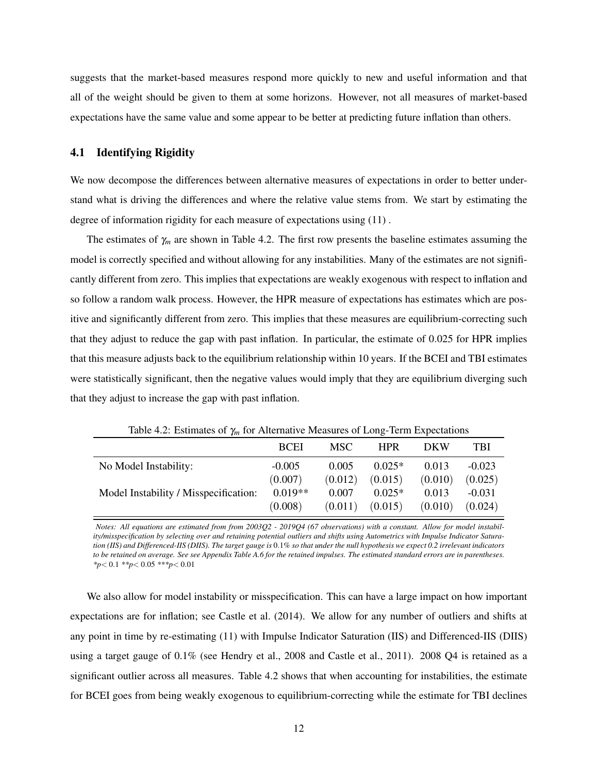suggests that the market-based measures respond more quickly to new and useful information and that all of the weight should be given to them at some horizons. However, not all measures of market-based expectations have the same value and some appear to be better at predicting future inflation than others.

#### 4.1 Identifying Rigidity

We now decompose the differences between alternative measures of expectations in order to better understand what is driving the differences and where the relative value stems from. We start by estimating the degree of information rigidity for each measure of expectations using (11) .

The estimates of  $\gamma_m$  are shown in Table 4.2. The first row presents the baseline estimates assuming the model is correctly specified and without allowing for any instabilities. Many of the estimates are not significantly different from zero. This implies that expectations are weakly exogenous with respect to inflation and so follow a random walk process. However, the HPR measure of expectations has estimates which are positive and significantly different from zero. This implies that these measures are equilibrium-correcting such that they adjust to reduce the gap with past inflation. In particular, the estimate of 0.025 for HPR implies that this measure adjusts back to the equilibrium relationship within 10 years. If the BCEI and TBI estimates were statistically significant, then the negative values would imply that they are equilibrium diverging such that they adjust to increase the gap with past inflation.

| rative $\mathbf{R}$ . Estimates or $\eta\eta$ for renormalize measures or Equipment Expectations |             |         |            |            |          |
|--------------------------------------------------------------------------------------------------|-------------|---------|------------|------------|----------|
|                                                                                                  | <b>BCEI</b> | MSC .   | <b>HPR</b> | <b>DKW</b> | TBI      |
| No Model Instability:                                                                            | $-0.005$    | 0.005   | $0.025*$   | 0.013      | $-0.023$ |
|                                                                                                  | (0.007)     | (0.012) | (0.015)    | (0.010)    | (0.025)  |
| Model Instability / Misspecification:                                                            | $0.019**$   | 0.007   | $0.025*$   | 0.013      | $-0.031$ |
|                                                                                                  | (0.008)     | (0.011) | (0.015)    | (0.010)    | (0.024)  |

Table 4.2: Estimates of γ*<sup>m</sup>* for Alternative Measures of Long-Term Expectations

*Notes: All equations are estimated from from 2003Q2 - 2019Q4 (67 observations) with a constant. Allow for model instability/misspecification by selecting over and retaining potential outliers and shifts using Autometrics with Impulse Indicator Saturation (IIS) and Differenced-IIS (DIIS). The target gauge is* 0.1% *so that under the null hypothesis we expect 0.2 irrelevant indicators to be retained on average. See see Appendix Table A.6 for the retained impulses. The estimated standard errors are in parentheses. \*p*< 0.1 *\*\*p*< 0.05 *\*\*\*p*< 0.01

We also allow for model instability or misspecification. This can have a large impact on how important expectations are for inflation; see Castle et al. (2014). We allow for any number of outliers and shifts at any point in time by re-estimating (11) with Impulse Indicator Saturation (IIS) and Differenced-IIS (DIIS) using a target gauge of 0.1% (see Hendry et al., 2008 and Castle et al., 2011). 2008 Q4 is retained as a significant outlier across all measures. Table 4.2 shows that when accounting for instabilities, the estimate for BCEI goes from being weakly exogenous to equilibrium-correcting while the estimate for TBI declines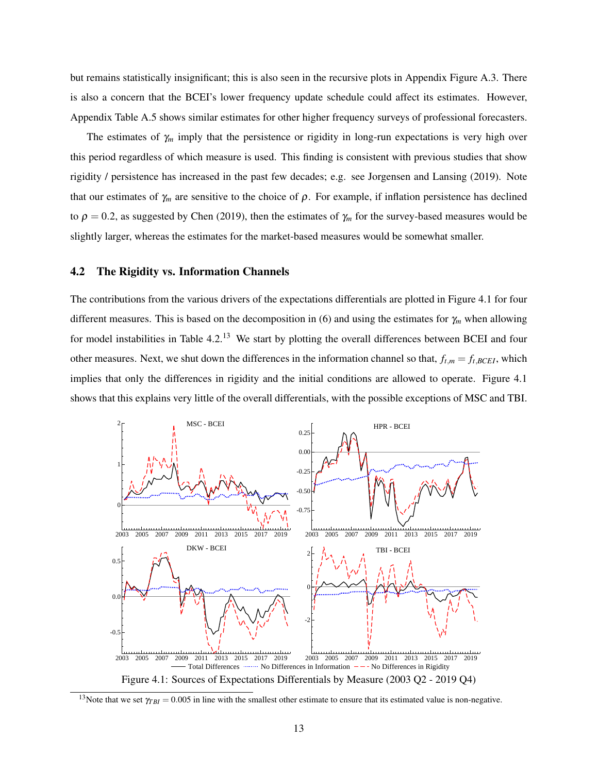but remains statistically insignificant; this is also seen in the recursive plots in Appendix Figure A.3. There is also a concern that the BCEI's lower frequency update schedule could affect its estimates. However, Appendix Table A.5 shows similar estimates for other higher frequency surveys of professional forecasters.

The estimates of  $\gamma_m$  imply that the persistence or rigidity in long-run expectations is very high over this period regardless of which measure is used. This finding is consistent with previous studies that show rigidity / persistence has increased in the past few decades; e.g. see Jorgensen and Lansing (2019). Note that our estimates of  $\gamma_m$  are sensitive to the choice of  $\rho$ . For example, if inflation persistence has declined to  $\rho = 0.2$ , as suggested by Chen (2019), then the estimates of  $\gamma_m$  for the survey-based measures would be slightly larger, whereas the estimates for the market-based measures would be somewhat smaller.

#### 4.2 The Rigidity vs. Information Channels

The contributions from the various drivers of the expectations differentials are plotted in Figure 4.1 for four different measures. This is based on the decomposition in (6) and using the estimates for γ*<sup>m</sup>* when allowing for model instabilities in Table 4.2.<sup>13</sup> We start by plotting the overall differences between BCEI and four other measures. Next, we shut down the differences in the information channel so that,  $f_{t,m} = f_{t,BCEI}$ , which implies that only the differences in rigidity and the initial conditions are allowed to operate. Figure 4.1 shows that this explains very little of the overall differentials, with the possible exceptions of MSC and TBI.



<sup>&</sup>lt;sup>13</sup>Note that we set  $\gamma_{TBI} = 0.005$  in line with the smallest other estimate to ensure that its estimated value is non-negative.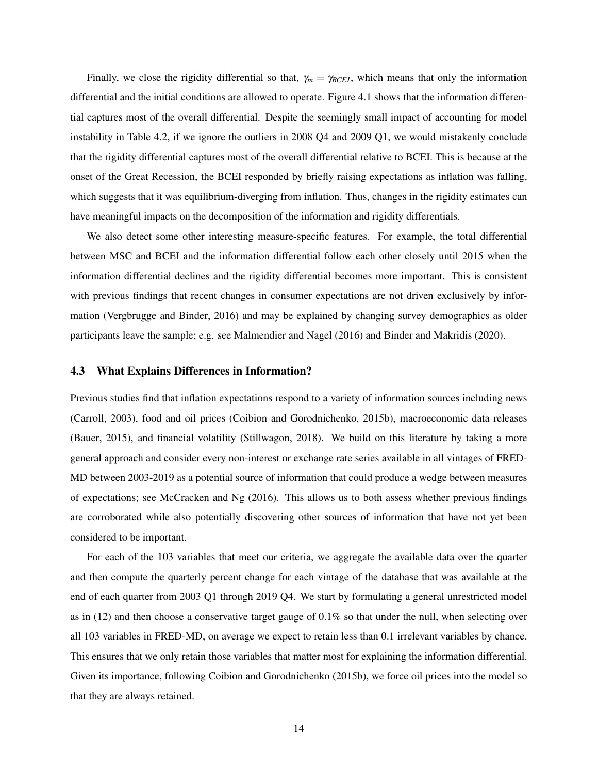Finally, we close the rigidity differential so that,  $\gamma_m = \gamma_{BCEI}$ , which means that only the information differential and the initial conditions are allowed to operate. Figure 4.1 shows that the information differential captures most of the overall differential. Despite the seemingly small impact of accounting for model instability in Table 4.2, if we ignore the outliers in 2008 Q4 and 2009 Q1, we would mistakenly conclude that the rigidity differential captures most of the overall differential relative to BCEI. This is because at the onset of the Great Recession, the BCEI responded by briefly raising expectations as inflation was falling, which suggests that it was equilibrium-diverging from inflation. Thus, changes in the rigidity estimates can have meaningful impacts on the decomposition of the information and rigidity differentials.

We also detect some other interesting measure-specific features. For example, the total differential between MSC and BCEI and the information differential follow each other closely until 2015 when the information differential declines and the rigidity differential becomes more important. This is consistent with previous findings that recent changes in consumer expectations are not driven exclusively by information (Vergbrugge and Binder, 2016) and may be explained by changing survey demographics as older participants leave the sample; e.g. see Malmendier and Nagel (2016) and Binder and Makridis (2020).

#### 4.3 What Explains Differences in Information?

Previous studies find that inflation expectations respond to a variety of information sources including news (Carroll, 2003), food and oil prices (Coibion and Gorodnichenko, 2015b), macroeconomic data releases (Bauer, 2015), and financial volatility (Stillwagon, 2018). We build on this literature by taking a more general approach and consider every non-interest or exchange rate series available in all vintages of FRED-MD between 2003-2019 as a potential source of information that could produce a wedge between measures of expectations; see McCracken and Ng (2016). This allows us to both assess whether previous findings are corroborated while also potentially discovering other sources of information that have not yet been considered to be important.

For each of the 103 variables that meet our criteria, we aggregate the available data over the quarter and then compute the quarterly percent change for each vintage of the database that was available at the end of each quarter from 2003 Q1 through 2019 Q4. We start by formulating a general unrestricted model as in (12) and then choose a conservative target gauge of 0.1% so that under the null, when selecting over all 103 variables in FRED-MD, on average we expect to retain less than 0.1 irrelevant variables by chance. This ensures that we only retain those variables that matter most for explaining the information differential. Given its importance, following Coibion and Gorodnichenko (2015b), we force oil prices into the model so that they are always retained.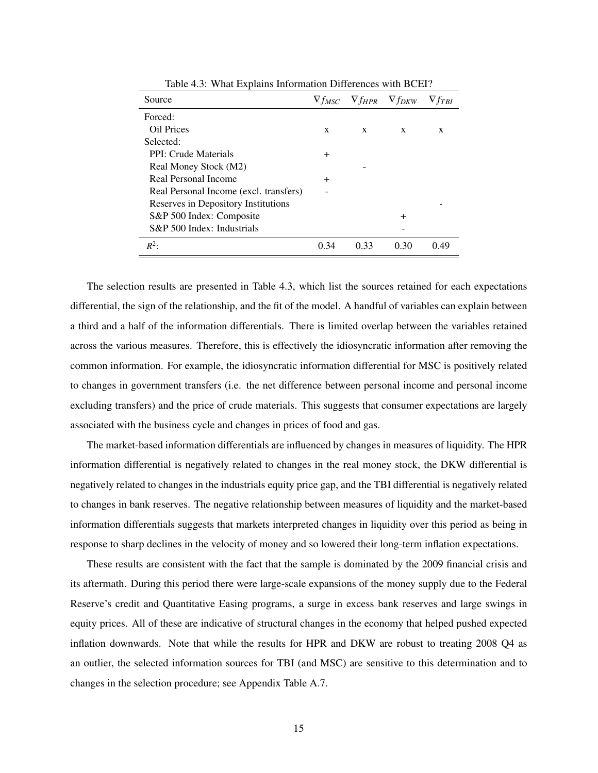| Source                                 |        |      | $\nabla f_{MSC}$ $\nabla f_{HPR}$ $\nabla f_{DKW}$ | $\nabla f_{TRI}$ |
|----------------------------------------|--------|------|----------------------------------------------------|------------------|
| Forced:                                |        |      |                                                    |                  |
| Oil Prices                             | X      | X    | X                                                  | X                |
| Selected:                              |        |      |                                                    |                  |
| PPI: Crude Materials                   | $\pm$  |      |                                                    |                  |
| Real Money Stock (M2)                  |        |      |                                                    |                  |
| Real Personal Income                   | $\div$ |      |                                                    |                  |
| Real Personal Income (excl. transfers) |        |      |                                                    |                  |
| Reserves in Depository Institutions    |        |      |                                                    |                  |
| S&P 500 Index: Composite               |        |      | $\div$                                             |                  |
| S&P 500 Index: Industrials             |        |      |                                                    |                  |
| $R^2$                                  | 0.34   | 0.33 | 0.30                                               | 0.49             |

Table 4.3: What Explains Information Differences with BCEI?

The selection results are presented in Table 4.3, which list the sources retained for each expectations differential, the sign of the relationship, and the fit of the model. A handful of variables can explain between a third and a half of the information differentials. There is limited overlap between the variables retained across the various measures. Therefore, this is effectively the idiosyncratic information after removing the common information. For example, the idiosyncratic information differential for MSC is positively related to changes in government transfers (i.e. the net difference between personal income and personal income excluding transfers) and the price of crude materials. This suggests that consumer expectations are largely associated with the business cycle and changes in prices of food and gas.

The market-based information differentials are influenced by changes in measures of liquidity. The HPR information differential is negatively related to changes in the real money stock, the DKW differential is negatively related to changes in the industrials equity price gap, and the TBI differential is negatively related to changes in bank reserves. The negative relationship between measures of liquidity and the market-based information differentials suggests that markets interpreted changes in liquidity over this period as being in response to sharp declines in the velocity of money and so lowered their long-term inflation expectations.

These results are consistent with the fact that the sample is dominated by the 2009 financial crisis and its aftermath. During this period there were large-scale expansions of the money supply due to the Federal Reserve's credit and Quantitative Easing programs, a surge in excess bank reserves and large swings in equity prices. All of these are indicative of structural changes in the economy that helped pushed expected inflation downwards. Note that while the results for HPR and DKW are robust to treating 2008 Q4 as an outlier, the selected information sources for TBI (and MSC) are sensitive to this determination and to changes in the selection procedure; see Appendix Table A.7.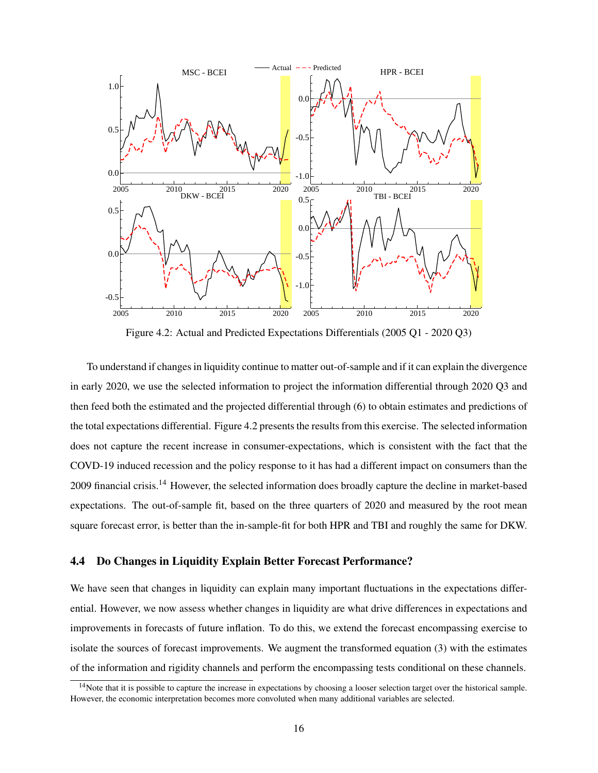

Figure 4.2: Actual and Predicted Expectations Differentials (2005 Q1 - 2020 Q3)

To understand if changes in liquidity continue to matter out-of-sample and if it can explain the divergence in early 2020, we use the selected information to project the information differential through 2020 Q3 and then feed both the estimated and the projected differential through (6) to obtain estimates and predictions of the total expectations differential. Figure 4.2 presents the results from this exercise. The selected information does not capture the recent increase in consumer-expectations, which is consistent with the fact that the COVD-19 induced recession and the policy response to it has had a different impact on consumers than the 2009 financial crisis.<sup>14</sup> However, the selected information does broadly capture the decline in market-based expectations. The out-of-sample fit, based on the three quarters of 2020 and measured by the root mean square forecast error, is better than the in-sample-fit for both HPR and TBI and roughly the same for DKW.

#### 4.4 Do Changes in Liquidity Explain Better Forecast Performance?

We have seen that changes in liquidity can explain many important fluctuations in the expectations differential. However, we now assess whether changes in liquidity are what drive differences in expectations and improvements in forecasts of future inflation. To do this, we extend the forecast encompassing exercise to isolate the sources of forecast improvements. We augment the transformed equation (3) with the estimates of the information and rigidity channels and perform the encompassing tests conditional on these channels.

<sup>&</sup>lt;sup>14</sup>Note that it is possible to capture the increase in expectations by choosing a looser selection target over the historical sample. However, the economic interpretation becomes more convoluted when many additional variables are selected.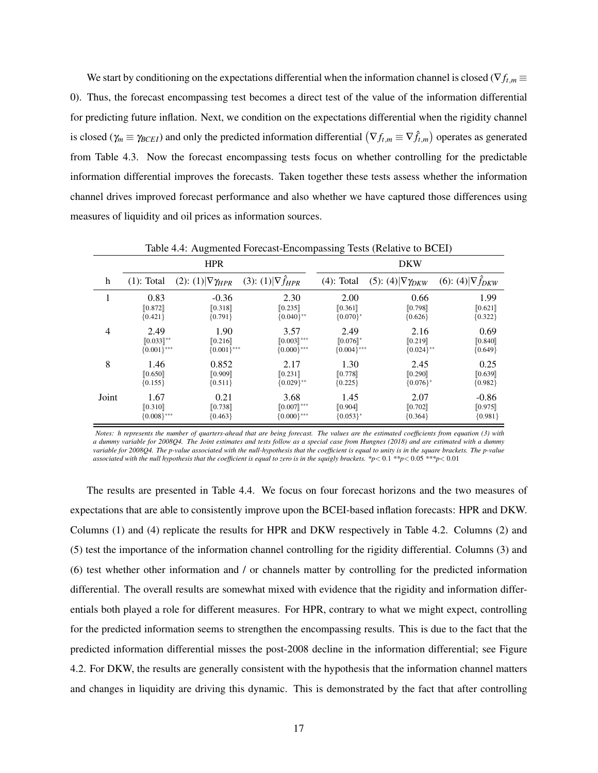We start by conditioning on the expectations differential when the information channel is closed ( $\nabla f_{t,m}$ ) 0). Thus, the forecast encompassing test becomes a direct test of the value of the information differential for predicting future inflation. Next, we condition on the expectations differential when the rigidity channel is closed ( $\gamma_m \equiv \gamma_{BCEI}$ ) and only the predicted information differential  $(\nabla f_{t,m} \equiv \nabla \hat{f}_{t,m})$  operates as generated from Table 4.3. Now the forecast encompassing tests focus on whether controlling for the predictable information differential improves the forecasts. Taken together these tests assess whether the information channel drives improved forecast performance and also whether we have captured those differences using measures of liquidity and oil prices as information sources.

|                |                | $  -$                          |                           | $m$ $\mu$ <sub>b</sub> $m$ $\mu$ $\mu$ $\sigma$ $\mu$ $\sigma$ $\mu$ $\sigma$ $\sigma$ |                                |                           |
|----------------|----------------|--------------------------------|---------------------------|----------------------------------------------------------------------------------------|--------------------------------|---------------------------|
|                |                | <b>HPR</b>                     |                           |                                                                                        | <b>DKW</b>                     |                           |
| h              | $(1)$ : Total  | (2): (1) $\nabla \gamma_{HPR}$ | (3): (1) $\nabla f_{HPR}$ | $(4)$ : Total                                                                          | (5): (4) $\nabla \gamma_{DKW}$ | (6): (4) $\nabla f_{DKW}$ |
| 1              | 0.83           | $-0.36$                        | 2.30                      | 2.00                                                                                   | 0.66                           | 1.99                      |
|                | [0.872]        | [0.318]                        | [0.235]                   | [0.361]                                                                                | [0.798]                        | [0.621]                   |
|                | ${0.421}$      | ${0.791}$                      | ${0.040}$ **              | ${0.070}$ <sup>*</sup>                                                                 | ${0.626}$                      | ${0.322}$                 |
| $\overline{4}$ | 2.49           | 1.90                           | 3.57                      | 2.49                                                                                   | 2.16                           | 0.69                      |
|                | $[0.033]^{**}$ | [0.216]                        | $[0.003]$ ***             | $[0.076]$ *                                                                            | [0.219]                        | [0.840]                   |
|                | ${0.001}$ ***  | ${0.001}$ ***                  | ${0.000}$ ***             | ${0.004}$ ***                                                                          | ${0.024}$ **                   | ${0.649}$                 |
| 8              | 1.46           | 0.852                          | 2.17                      | 1.30                                                                                   | 2.45                           | 0.25                      |
|                | [0.650]        | [0.909]                        | [0.231]                   | [0.778]                                                                                | [0.290]                        | [0.639]                   |
|                | ${0.155}$      | ${0.511}$                      | ${0.029}$ **              | ${0.225}$                                                                              | ${0.076}^*$                    | ${0.982}$                 |
| Joint          | 1.67           | 0.21                           | 3.68                      | 1.45                                                                                   | 2.07                           | $-0.86$                   |
|                | [0.310]        | [0.738]                        | $[0.007]$ ***             | [0.904]                                                                                | [0.702]                        | [0.975]                   |
|                | ${0.008}$ ***  | ${0.463}$                      | ${0.000}$ ***             | ${0.053}^*$                                                                            | ${0.364}$                      | ${0.981}$                 |

Table 4.4: Augmented Forecast-Encompassing Tests (Relative to BCEI)

*Notes: h represents the number of quarters-ahead that are being forecast. The values are the estimated coefficients from equation (3) with a dummy variable for 2008Q4. The Joint estimates and tests follow as a special case from Hungnes (2018) and are estimated with a dummy variable for 2008Q4. The p-value associated with the null-hypothesis that the coefficient is equal to unity is in the square brackets. The p-value associated with the null hypothesis that the coefficient is equal to zero is in the squigly brackets. \*p*< 0.1 *\*\*p*< 0.05 *\*\*\*p*< 0.01

The results are presented in Table 4.4. We focus on four forecast horizons and the two measures of expectations that are able to consistently improve upon the BCEI-based inflation forecasts: HPR and DKW. Columns (1) and (4) replicate the results for HPR and DKW respectively in Table 4.2. Columns (2) and (5) test the importance of the information channel controlling for the rigidity differential. Columns (3) and (6) test whether other information and / or channels matter by controlling for the predicted information differential. The overall results are somewhat mixed with evidence that the rigidity and information differentials both played a role for different measures. For HPR, contrary to what we might expect, controlling for the predicted information seems to strengthen the encompassing results. This is due to the fact that the predicted information differential misses the post-2008 decline in the information differential; see Figure 4.2. For DKW, the results are generally consistent with the hypothesis that the information channel matters and changes in liquidity are driving this dynamic. This is demonstrated by the fact that after controlling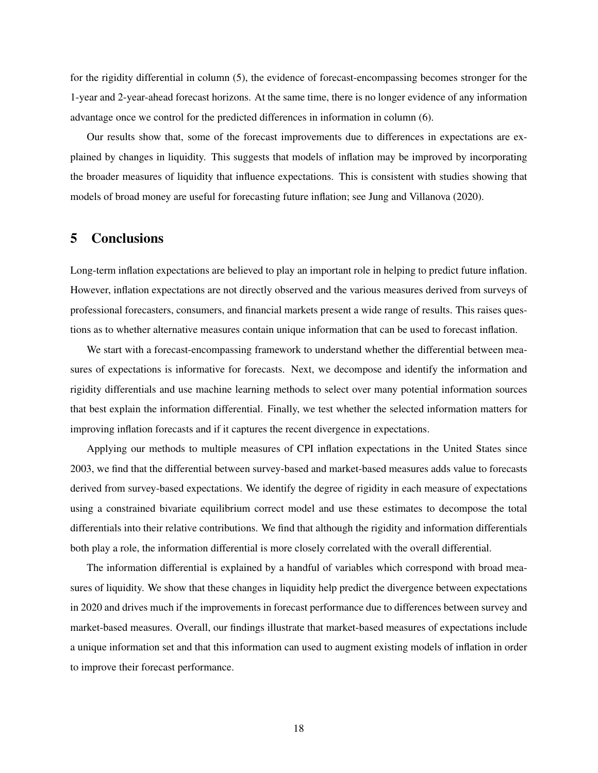for the rigidity differential in column (5), the evidence of forecast-encompassing becomes stronger for the 1-year and 2-year-ahead forecast horizons. At the same time, there is no longer evidence of any information advantage once we control for the predicted differences in information in column (6).

Our results show that, some of the forecast improvements due to differences in expectations are explained by changes in liquidity. This suggests that models of inflation may be improved by incorporating the broader measures of liquidity that influence expectations. This is consistent with studies showing that models of broad money are useful for forecasting future inflation; see Jung and Villanova (2020).

## 5 Conclusions

Long-term inflation expectations are believed to play an important role in helping to predict future inflation. However, inflation expectations are not directly observed and the various measures derived from surveys of professional forecasters, consumers, and financial markets present a wide range of results. This raises questions as to whether alternative measures contain unique information that can be used to forecast inflation.

We start with a forecast-encompassing framework to understand whether the differential between measures of expectations is informative for forecasts. Next, we decompose and identify the information and rigidity differentials and use machine learning methods to select over many potential information sources that best explain the information differential. Finally, we test whether the selected information matters for improving inflation forecasts and if it captures the recent divergence in expectations.

Applying our methods to multiple measures of CPI inflation expectations in the United States since 2003, we find that the differential between survey-based and market-based measures adds value to forecasts derived from survey-based expectations. We identify the degree of rigidity in each measure of expectations using a constrained bivariate equilibrium correct model and use these estimates to decompose the total differentials into their relative contributions. We find that although the rigidity and information differentials both play a role, the information differential is more closely correlated with the overall differential.

The information differential is explained by a handful of variables which correspond with broad measures of liquidity. We show that these changes in liquidity help predict the divergence between expectations in 2020 and drives much if the improvements in forecast performance due to differences between survey and market-based measures. Overall, our findings illustrate that market-based measures of expectations include a unique information set and that this information can used to augment existing models of inflation in order to improve their forecast performance.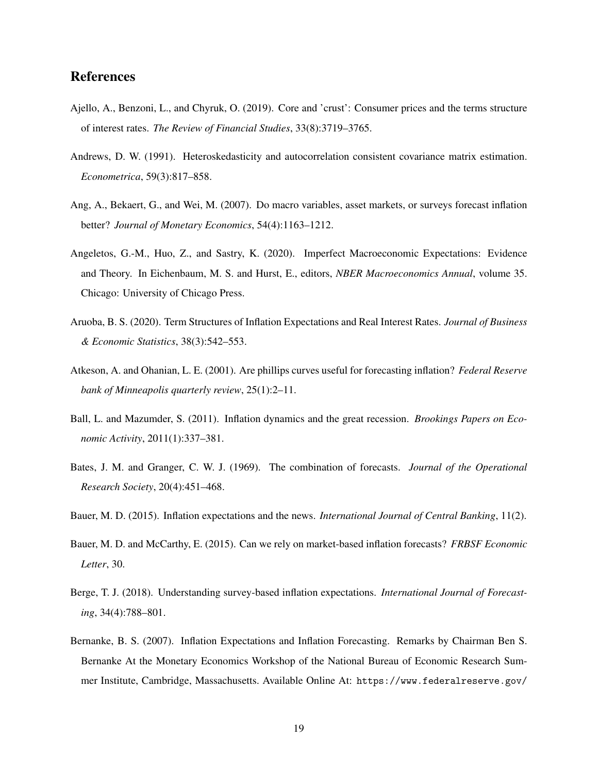## References

- Ajello, A., Benzoni, L., and Chyruk, O. (2019). Core and 'crust': Consumer prices and the terms structure of interest rates. *The Review of Financial Studies*, 33(8):3719–3765.
- Andrews, D. W. (1991). Heteroskedasticity and autocorrelation consistent covariance matrix estimation. *Econometrica*, 59(3):817–858.
- Ang, A., Bekaert, G., and Wei, M. (2007). Do macro variables, asset markets, or surveys forecast inflation better? *Journal of Monetary Economics*, 54(4):1163–1212.
- Angeletos, G.-M., Huo, Z., and Sastry, K. (2020). Imperfect Macroeconomic Expectations: Evidence and Theory. In Eichenbaum, M. S. and Hurst, E., editors, *NBER Macroeconomics Annual*, volume 35. Chicago: University of Chicago Press.
- Aruoba, B. S. (2020). Term Structures of Inflation Expectations and Real Interest Rates. *Journal of Business & Economic Statistics*, 38(3):542–553.
- Atkeson, A. and Ohanian, L. E. (2001). Are phillips curves useful for forecasting inflation? *Federal Reserve bank of Minneapolis quarterly review*, 25(1):2–11.
- Ball, L. and Mazumder, S. (2011). Inflation dynamics and the great recession. *Brookings Papers on Economic Activity*, 2011(1):337–381.
- Bates, J. M. and Granger, C. W. J. (1969). The combination of forecasts. *Journal of the Operational Research Society*, 20(4):451–468.
- Bauer, M. D. (2015). Inflation expectations and the news. *International Journal of Central Banking*, 11(2).
- Bauer, M. D. and McCarthy, E. (2015). Can we rely on market-based inflation forecasts? *FRBSF Economic Letter*, 30.
- Berge, T. J. (2018). Understanding survey-based inflation expectations. *International Journal of Forecasting*, 34(4):788–801.
- Bernanke, B. S. (2007). Inflation Expectations and Inflation Forecasting. Remarks by Chairman Ben S. Bernanke At the Monetary Economics Workshop of the National Bureau of Economic Research Summer Institute, Cambridge, Massachusetts. Available Online At: https://www.federalreserve.gov/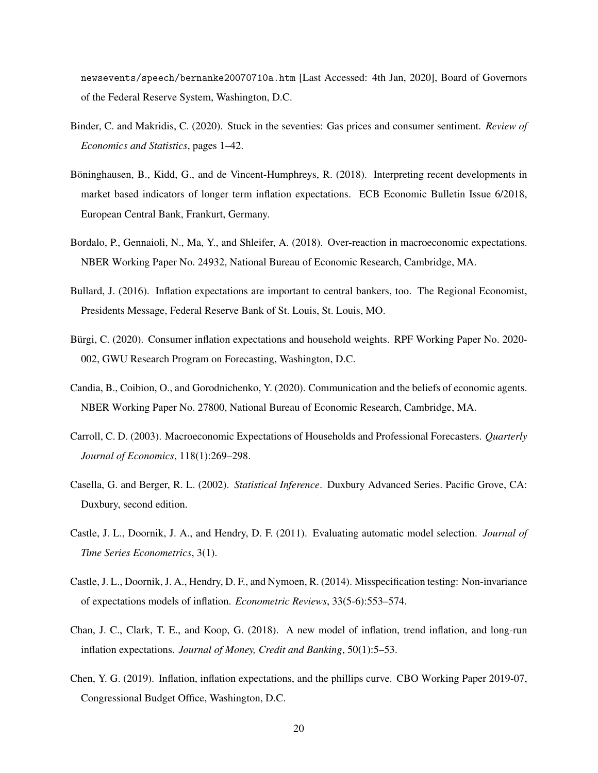newsevents/speech/bernanke20070710a.htm [Last Accessed: 4th Jan, 2020], Board of Governors of the Federal Reserve System, Washington, D.C.

- Binder, C. and Makridis, C. (2020). Stuck in the seventies: Gas prices and consumer sentiment. *Review of Economics and Statistics*, pages 1–42.
- Böninghausen, B., Kidd, G., and de Vincent-Humphreys, R. (2018). Interpreting recent developments in market based indicators of longer term inflation expectations. ECB Economic Bulletin Issue 6/2018, European Central Bank, Frankurt, Germany.
- Bordalo, P., Gennaioli, N., Ma, Y., and Shleifer, A. (2018). Over-reaction in macroeconomic expectations. NBER Working Paper No. 24932, National Bureau of Economic Research, Cambridge, MA.
- Bullard, J. (2016). Inflation expectations are important to central bankers, too. The Regional Economist, Presidents Message, Federal Reserve Bank of St. Louis, St. Louis, MO.
- Bürgi, C. (2020). Consumer inflation expectations and household weights. RPF Working Paper No. 2020- 002, GWU Research Program on Forecasting, Washington, D.C.
- Candia, B., Coibion, O., and Gorodnichenko, Y. (2020). Communication and the beliefs of economic agents. NBER Working Paper No. 27800, National Bureau of Economic Research, Cambridge, MA.
- Carroll, C. D. (2003). Macroeconomic Expectations of Households and Professional Forecasters. *Quarterly Journal of Economics*, 118(1):269–298.
- Casella, G. and Berger, R. L. (2002). *Statistical Inference*. Duxbury Advanced Series. Pacific Grove, CA: Duxbury, second edition.
- Castle, J. L., Doornik, J. A., and Hendry, D. F. (2011). Evaluating automatic model selection. *Journal of Time Series Econometrics*, 3(1).
- Castle, J. L., Doornik, J. A., Hendry, D. F., and Nymoen, R. (2014). Misspecification testing: Non-invariance of expectations models of inflation. *Econometric Reviews*, 33(5-6):553–574.
- Chan, J. C., Clark, T. E., and Koop, G. (2018). A new model of inflation, trend inflation, and long-run inflation expectations. *Journal of Money, Credit and Banking*, 50(1):5–53.
- Chen, Y. G. (2019). Inflation, inflation expectations, and the phillips curve. CBO Working Paper 2019-07, Congressional Budget Office, Washington, D.C.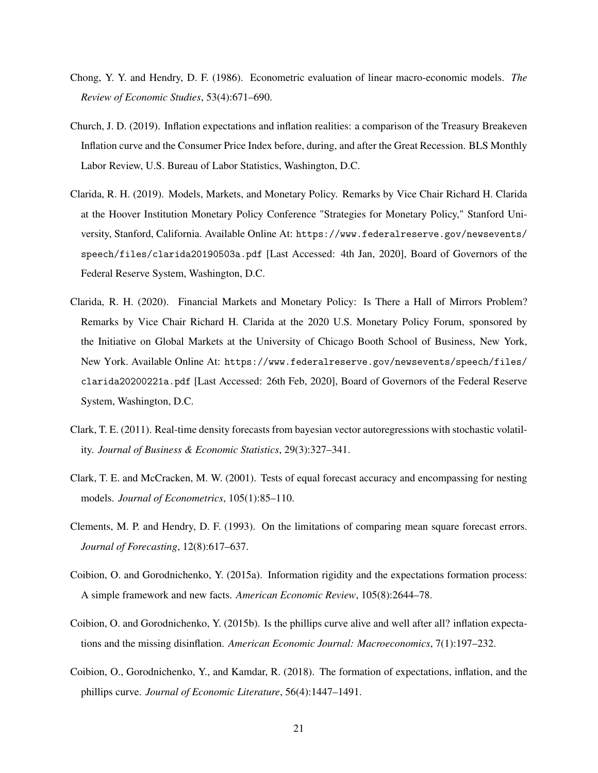- Chong, Y. Y. and Hendry, D. F. (1986). Econometric evaluation of linear macro-economic models. *The Review of Economic Studies*, 53(4):671–690.
- Church, J. D. (2019). Inflation expectations and inflation realities: a comparison of the Treasury Breakeven Inflation curve and the Consumer Price Index before, during, and after the Great Recession. BLS Monthly Labor Review, U.S. Bureau of Labor Statistics, Washington, D.C.
- Clarida, R. H. (2019). Models, Markets, and Monetary Policy. Remarks by Vice Chair Richard H. Clarida at the Hoover Institution Monetary Policy Conference "Strategies for Monetary Policy," Stanford University, Stanford, California. Available Online At: https://www.federalreserve.gov/newsevents/ speech/files/clarida20190503a.pdf [Last Accessed: 4th Jan, 2020], Board of Governors of the Federal Reserve System, Washington, D.C.
- Clarida, R. H. (2020). Financial Markets and Monetary Policy: Is There a Hall of Mirrors Problem? Remarks by Vice Chair Richard H. Clarida at the 2020 U.S. Monetary Policy Forum, sponsored by the Initiative on Global Markets at the University of Chicago Booth School of Business, New York, New York. Available Online At: https://www.federalreserve.gov/newsevents/speech/files/ clarida20200221a.pdf [Last Accessed: 26th Feb, 2020], Board of Governors of the Federal Reserve System, Washington, D.C.
- Clark, T. E. (2011). Real-time density forecasts from bayesian vector autoregressions with stochastic volatility. *Journal of Business & Economic Statistics*, 29(3):327–341.
- Clark, T. E. and McCracken, M. W. (2001). Tests of equal forecast accuracy and encompassing for nesting models. *Journal of Econometrics*, 105(1):85–110.
- Clements, M. P. and Hendry, D. F. (1993). On the limitations of comparing mean square forecast errors. *Journal of Forecasting*, 12(8):617–637.
- Coibion, O. and Gorodnichenko, Y. (2015a). Information rigidity and the expectations formation process: A simple framework and new facts. *American Economic Review*, 105(8):2644–78.
- Coibion, O. and Gorodnichenko, Y. (2015b). Is the phillips curve alive and well after all? inflation expectations and the missing disinflation. *American Economic Journal: Macroeconomics*, 7(1):197–232.
- Coibion, O., Gorodnichenko, Y., and Kamdar, R. (2018). The formation of expectations, inflation, and the phillips curve. *Journal of Economic Literature*, 56(4):1447–1491.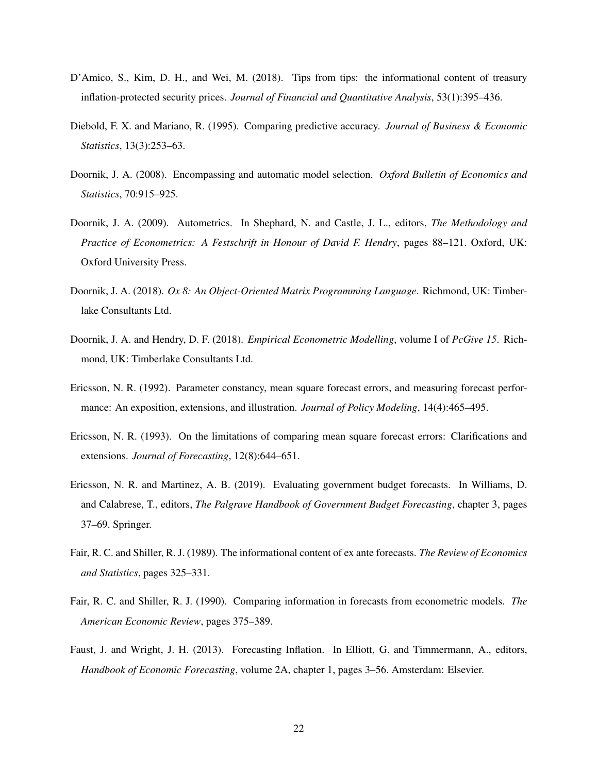- D'Amico, S., Kim, D. H., and Wei, M. (2018). Tips from tips: the informational content of treasury inflation-protected security prices. *Journal of Financial and Quantitative Analysis*, 53(1):395–436.
- Diebold, F. X. and Mariano, R. (1995). Comparing predictive accuracy. *Journal of Business & Economic Statistics*, 13(3):253–63.
- Doornik, J. A. (2008). Encompassing and automatic model selection. *Oxford Bulletin of Economics and Statistics*, 70:915–925.
- Doornik, J. A. (2009). Autometrics. In Shephard, N. and Castle, J. L., editors, *The Methodology and Practice of Econometrics: A Festschrift in Honour of David F. Hendry*, pages 88–121. Oxford, UK: Oxford University Press.
- Doornik, J. A. (2018). *Ox 8: An Object-Oriented Matrix Programming Language*. Richmond, UK: Timberlake Consultants Ltd.
- Doornik, J. A. and Hendry, D. F. (2018). *Empirical Econometric Modelling*, volume I of *PcGive 15*. Richmond, UK: Timberlake Consultants Ltd.
- Ericsson, N. R. (1992). Parameter constancy, mean square forecast errors, and measuring forecast performance: An exposition, extensions, and illustration. *Journal of Policy Modeling*, 14(4):465–495.
- Ericsson, N. R. (1993). On the limitations of comparing mean square forecast errors: Clarifications and extensions. *Journal of Forecasting*, 12(8):644–651.
- Ericsson, N. R. and Martinez, A. B. (2019). Evaluating government budget forecasts. In Williams, D. and Calabrese, T., editors, *The Palgrave Handbook of Government Budget Forecasting*, chapter 3, pages 37–69. Springer.
- Fair, R. C. and Shiller, R. J. (1989). The informational content of ex ante forecasts. *The Review of Economics and Statistics*, pages 325–331.
- Fair, R. C. and Shiller, R. J. (1990). Comparing information in forecasts from econometric models. *The American Economic Review*, pages 375–389.
- Faust, J. and Wright, J. H. (2013). Forecasting Inflation. In Elliott, G. and Timmermann, A., editors, *Handbook of Economic Forecasting*, volume 2A, chapter 1, pages 3–56. Amsterdam: Elsevier.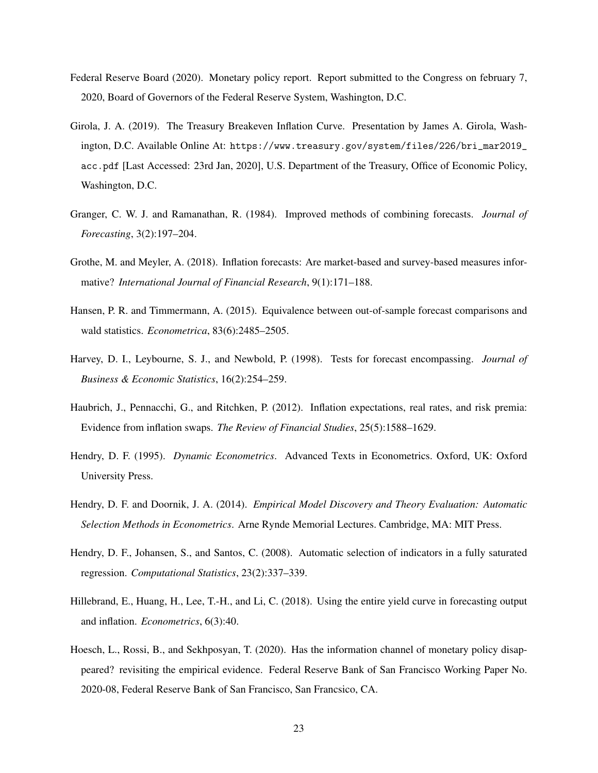- Federal Reserve Board (2020). Monetary policy report. Report submitted to the Congress on february 7, 2020, Board of Governors of the Federal Reserve System, Washington, D.C.
- Girola, J. A. (2019). The Treasury Breakeven Inflation Curve. Presentation by James A. Girola, Washington, D.C. Available Online At: https://www.treasury.gov/system/files/226/bri\_mar2019\_ acc.pdf [Last Accessed: 23rd Jan, 2020], U.S. Department of the Treasury, Office of Economic Policy, Washington, D.C.
- Granger, C. W. J. and Ramanathan, R. (1984). Improved methods of combining forecasts. *Journal of Forecasting*, 3(2):197–204.
- Grothe, M. and Meyler, A. (2018). Inflation forecasts: Are market-based and survey-based measures informative? *International Journal of Financial Research*, 9(1):171–188.
- Hansen, P. R. and Timmermann, A. (2015). Equivalence between out-of-sample forecast comparisons and wald statistics. *Econometrica*, 83(6):2485–2505.
- Harvey, D. I., Leybourne, S. J., and Newbold, P. (1998). Tests for forecast encompassing. *Journal of Business & Economic Statistics*, 16(2):254–259.
- Haubrich, J., Pennacchi, G., and Ritchken, P. (2012). Inflation expectations, real rates, and risk premia: Evidence from inflation swaps. *The Review of Financial Studies*, 25(5):1588–1629.
- Hendry, D. F. (1995). *Dynamic Econometrics*. Advanced Texts in Econometrics. Oxford, UK: Oxford University Press.
- Hendry, D. F. and Doornik, J. A. (2014). *Empirical Model Discovery and Theory Evaluation: Automatic Selection Methods in Econometrics*. Arne Rynde Memorial Lectures. Cambridge, MA: MIT Press.
- Hendry, D. F., Johansen, S., and Santos, C. (2008). Automatic selection of indicators in a fully saturated regression. *Computational Statistics*, 23(2):337–339.
- Hillebrand, E., Huang, H., Lee, T.-H., and Li, C. (2018). Using the entire yield curve in forecasting output and inflation. *Econometrics*, 6(3):40.
- Hoesch, L., Rossi, B., and Sekhposyan, T. (2020). Has the information channel of monetary policy disappeared? revisiting the empirical evidence. Federal Reserve Bank of San Francisco Working Paper No. 2020-08, Federal Reserve Bank of San Francisco, San Francsico, CA.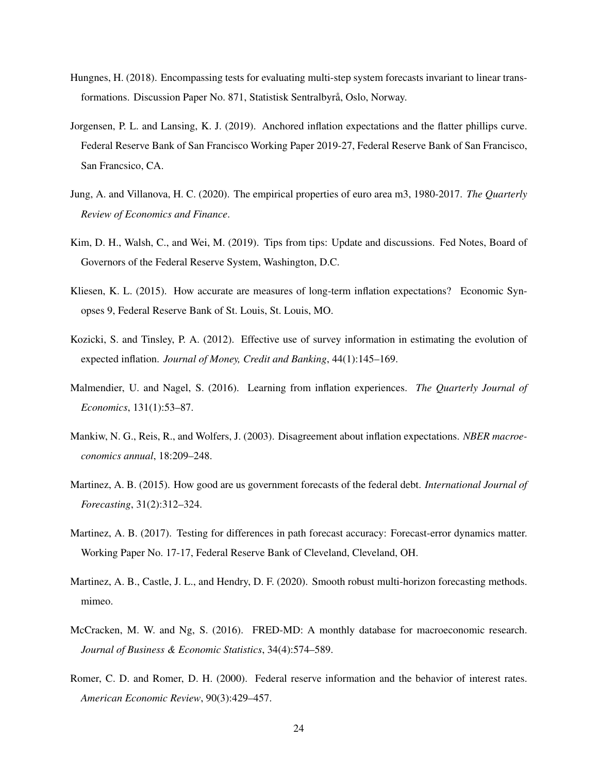- Hungnes, H. (2018). Encompassing tests for evaluating multi-step system forecasts invariant to linear transformations. Discussion Paper No. 871, Statistisk Sentralbyrå, Oslo, Norway.
- Jorgensen, P. L. and Lansing, K. J. (2019). Anchored inflation expectations and the flatter phillips curve. Federal Reserve Bank of San Francisco Working Paper 2019-27, Federal Reserve Bank of San Francisco, San Francsico, CA.
- Jung, A. and Villanova, H. C. (2020). The empirical properties of euro area m3, 1980-2017. *The Quarterly Review of Economics and Finance*.
- Kim, D. H., Walsh, C., and Wei, M. (2019). Tips from tips: Update and discussions. Fed Notes, Board of Governors of the Federal Reserve System, Washington, D.C.
- Kliesen, K. L. (2015). How accurate are measures of long-term inflation expectations? Economic Synopses 9, Federal Reserve Bank of St. Louis, St. Louis, MO.
- Kozicki, S. and Tinsley, P. A. (2012). Effective use of survey information in estimating the evolution of expected inflation. *Journal of Money, Credit and Banking*, 44(1):145–169.
- Malmendier, U. and Nagel, S. (2016). Learning from inflation experiences. *The Quarterly Journal of Economics*, 131(1):53–87.
- Mankiw, N. G., Reis, R., and Wolfers, J. (2003). Disagreement about inflation expectations. *NBER macroeconomics annual*, 18:209–248.
- Martinez, A. B. (2015). How good are us government forecasts of the federal debt. *International Journal of Forecasting*, 31(2):312–324.
- Martinez, A. B. (2017). Testing for differences in path forecast accuracy: Forecast-error dynamics matter. Working Paper No. 17-17, Federal Reserve Bank of Cleveland, Cleveland, OH.
- Martinez, A. B., Castle, J. L., and Hendry, D. F. (2020). Smooth robust multi-horizon forecasting methods. mimeo.
- McCracken, M. W. and Ng, S. (2016). FRED-MD: A monthly database for macroeconomic research. *Journal of Business & Economic Statistics*, 34(4):574–589.
- Romer, C. D. and Romer, D. H. (2000). Federal reserve information and the behavior of interest rates. *American Economic Review*, 90(3):429–457.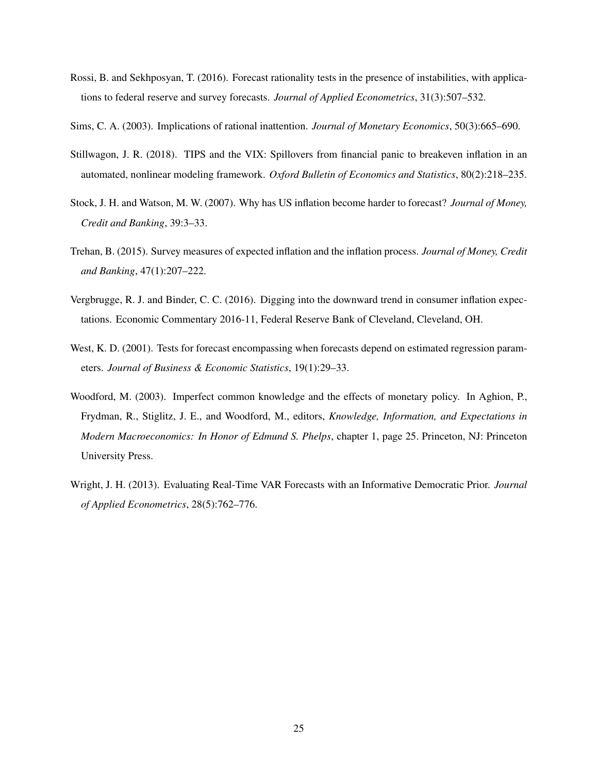Rossi, B. and Sekhposyan, T. (2016). Forecast rationality tests in the presence of instabilities, with applications to federal reserve and survey forecasts. *Journal of Applied Econometrics*, 31(3):507–532.

Sims, C. A. (2003). Implications of rational inattention. *Journal of Monetary Economics*, 50(3):665–690.

- Stillwagon, J. R. (2018). TIPS and the VIX: Spillovers from financial panic to breakeven inflation in an automated, nonlinear modeling framework. *Oxford Bulletin of Economics and Statistics*, 80(2):218–235.
- Stock, J. H. and Watson, M. W. (2007). Why has US inflation become harder to forecast? *Journal of Money, Credit and Banking*, 39:3–33.
- Trehan, B. (2015). Survey measures of expected inflation and the inflation process. *Journal of Money, Credit and Banking*, 47(1):207–222.
- Vergbrugge, R. J. and Binder, C. C. (2016). Digging into the downward trend in consumer inflation expectations. Economic Commentary 2016-11, Federal Reserve Bank of Cleveland, Cleveland, OH.
- West, K. D. (2001). Tests for forecast encompassing when forecasts depend on estimated regression parameters. *Journal of Business & Economic Statistics*, 19(1):29–33.
- Woodford, M. (2003). Imperfect common knowledge and the effects of monetary policy. In Aghion, P., Frydman, R., Stiglitz, J. E., and Woodford, M., editors, *Knowledge, Information, and Expectations in Modern Macroeconomics: In Honor of Edmund S. Phelps*, chapter 1, page 25. Princeton, NJ: Princeton University Press.
- Wright, J. H. (2013). Evaluating Real-Time VAR Forecasts with an Informative Democratic Prior. *Journal of Applied Econometrics*, 28(5):762–776.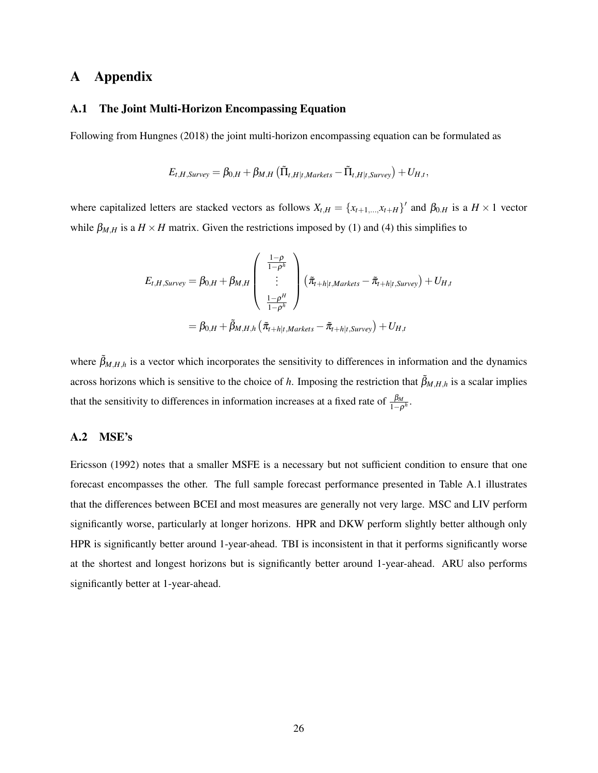## A Appendix

#### A.1 The Joint Multi-Horizon Encompassing Equation

Following from Hungnes (2018) the joint multi-horizon encompassing equation can be formulated as

$$
E_{t,H,Survey} = \beta_{0,H} + \beta_{M,H} (\tilde{\Pi}_{t,H|t,Markets} - \tilde{\Pi}_{t,H|t,Survey}) + U_{H,t},
$$

where capitalized letters are stacked vectors as follows  $X_{t,H} = \{x_{t+1,...,x_{t+H}}\}$  and  $\beta_{0,H}$  is a  $H \times 1$  vector while  $\beta_{M,H}$  is a  $H \times H$  matrix. Given the restrictions imposed by (1) and (4) this simplifies to

$$
E_{t,H,Survey} = \beta_{0,H} + \beta_{M,H} \begin{pmatrix} \frac{1-\rho}{1-\rho^h} \\ \vdots \\ \frac{1-\rho^H}{1-\rho^h} \end{pmatrix} (\tilde{\pi}_{t+h|t,Markets} - \tilde{\pi}_{t+h|t,Survey}) + U_{H,t}
$$

$$
= \beta_{0,H} + \tilde{\beta}_{M,H,h} (\tilde{\pi}_{t+h|t,Markets} - \tilde{\pi}_{t+h|t,Survey}) + U_{H,t}
$$

where  $\tilde{\beta}_{M,H,h}$  is a vector which incorporates the sensitivity to differences in information and the dynamics across horizons which is sensitive to the choice of *h*. Imposing the restriction that  $\tilde{\beta}_{M,H,h}$  is a scalar implies that the sensitivity to differences in information increases at a fixed rate of  $\frac{\beta_M}{1-\rho^h}$ .

#### A.2 MSE's

Ericsson (1992) notes that a smaller MSFE is a necessary but not sufficient condition to ensure that one forecast encompasses the other. The full sample forecast performance presented in Table A.1 illustrates that the differences between BCEI and most measures are generally not very large. MSC and LIV perform significantly worse, particularly at longer horizons. HPR and DKW perform slightly better although only HPR is significantly better around 1-year-ahead. TBI is inconsistent in that it performs significantly worse at the shortest and longest horizons but is significantly better around 1-year-ahead. ARU also performs significantly better at 1-year-ahead.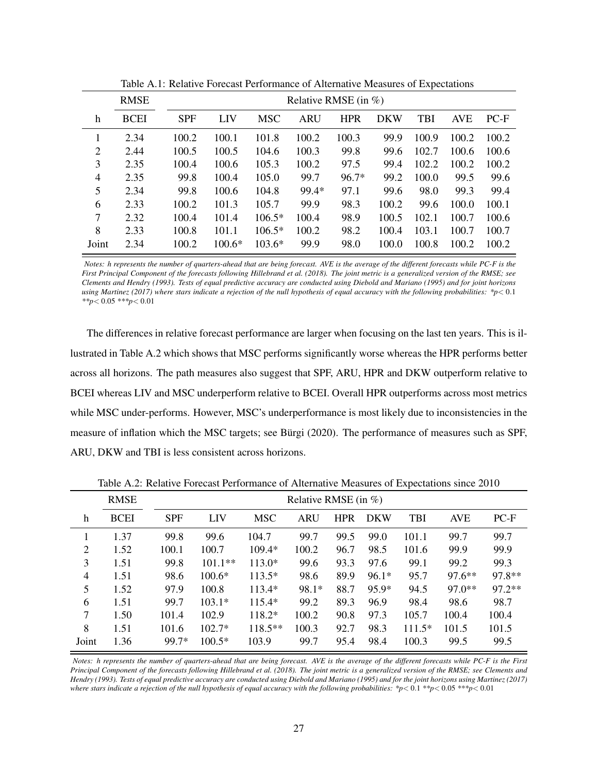|                | <b>RMSE</b> |            | Relative RMSE (in $\%$ ) |            |       |            |            |       |            |        |  |  |
|----------------|-------------|------------|--------------------------|------------|-------|------------|------------|-------|------------|--------|--|--|
| h              | <b>BCEI</b> | <b>SPF</b> | LIV                      | <b>MSC</b> | ARU   | <b>HPR</b> | <b>DKW</b> | TBI   | <b>AVE</b> | $PC-F$ |  |  |
|                | 2.34        | 100.2      | 100.1                    | 101.8      | 100.2 | 100.3      | 99.9       | 100.9 | 100.2      | 100.2  |  |  |
| 2              | 2.44        | 100.5      | 100.5                    | 104.6      | 100.3 | 99.8       | 99.6       | 102.7 | 100.6      | 100.6  |  |  |
| 3              | 2.35        | 100.4      | 100.6                    | 105.3      | 100.2 | 97.5       | 99.4       | 102.2 | 100.2      | 100.2  |  |  |
| $\overline{4}$ | 2.35        | 99.8       | 100.4                    | 105.0      | 99.7  | $96.7*$    | 99.2       | 100.0 | 99.5       | 99.6   |  |  |
| 5              | 2.34        | 99.8       | 100.6                    | 104.8      | 99.4* | 97.1       | 99.6       | 98.0  | 99.3       | 99.4   |  |  |
| 6              | 2.33        | 100.2      | 101.3                    | 105.7      | 99.9  | 98.3       | 100.2      | 99.6  | 100.0      | 100.1  |  |  |
| 7              | 2.32        | 100.4      | 101.4                    | $106.5*$   | 100.4 | 98.9       | 100.5      | 102.1 | 100.7      | 100.6  |  |  |
| 8              | 2.33        | 100.8      | 101.1                    | $106.5*$   | 100.2 | 98.2       | 100.4      | 103.1 | 100.7      | 100.7  |  |  |
| Joint          | 2.34        | 100.2      | $100.6*$                 | $103.6*$   | 99.9  | 98.0       | 100.0      | 100.8 | 100.2      | 100.2  |  |  |

Table A.1: Relative Forecast Performance of Alternative Measures of Expectations

*Notes: h represents the number of quarters-ahead that are being forecast. AVE is the average of the different forecasts while PC-F is the First Principal Component of the forecasts following Hillebrand et al. (2018). The joint metric is a generalized version of the RMSE; see Clements and Hendry (1993). Tests of equal predictive accuracy are conducted using Diebold and Mariano (1995) and for joint horizons using Martinez (2017) where stars indicate a rejection of the null hypothesis of equal accuracy with the following probabilities: \*p< 0.1 \*\*p*< 0.05 *\*\*\*p*< 0.01

The differences in relative forecast performance are larger when focusing on the last ten years. This is illustrated in Table A.2 which shows that MSC performs significantly worse whereas the HPR performs better across all horizons. The path measures also suggest that SPF, ARU, HPR and DKW outperform relative to BCEI whereas LIV and MSC underperform relative to BCEI. Overall HPR outperforms across most metrics while MSC under-performs. However, MSC's underperformance is most likely due to inconsistencies in the measure of inflation which the MSC targets; see Bürgi (2020). The performance of measures such as SPF, ARU, DKW and TBI is less consistent across horizons.

|       | <b>RMSE</b> |            | Relative RMSE (in $\%$ ) |            |            |            |            |            |            |          |  |
|-------|-------------|------------|--------------------------|------------|------------|------------|------------|------------|------------|----------|--|
| h     | <b>BCEI</b> | <b>SPF</b> | <b>LIV</b>               | <b>MSC</b> | <b>ARU</b> | <b>HPR</b> | <b>DKW</b> | <b>TBI</b> | <b>AVE</b> | $PC-F$   |  |
|       | 1.37        | 99.8       | 99.6                     | 104.7      | 99.7       | 99.5       | 99.0       | 101.1      | 99.7       | 99.7     |  |
| 2     | 1.52        | 100.1      | 100.7                    | $109.4*$   | 100.2      | 96.7       | 98.5       | 101.6      | 99.9       | 99.9     |  |
| 3     | 1.51        | 99.8       | $101.1**$                | $113.0*$   | 99.6       | 93.3       | 97.6       | 99.1       | 99.2       | 99.3     |  |
| 4     | 1.51        | 98.6       | $100.6*$                 | $113.5*$   | 98.6       | 89.9       | $96.1*$    | 95.7       | $97.6**$   | $97.8**$ |  |
| 5     | 1.52        | 97.9       | 100.8                    | $113.4*$   | 98.1*      | 88.7       | $95.9*$    | 94.5       | $97.0**$   | $97.2**$ |  |
| 6     | 1.51        | 99.7       | $103.1*$                 | $115.4*$   | 99.2       | 89.3       | 96.9       | 98.4       | 98.6       | 98.7     |  |
| 7     | 1.50        | 101.4      | 102.9                    | 118.2*     | 100.2      | 90.8       | 97.3       | 105.7      | 100.4      | 100.4    |  |
| 8     | 1.51        | 101.6      | $102.7*$                 | $118.5**$  | 100.3      | 92.7       | 98.3       | $111.5*$   | 101.5      | 101.5    |  |
| Joint | 1.36        | 99.7*      | $100.5*$                 | 103.9      | 99.7       | 95.4       | 98.4       | 100.3      | 99.5       | 99.5     |  |

Table A.2: Relative Forecast Performance of Alternative Measures of Expectations since 2010

*Notes: h represents the number of quarters-ahead that are being forecast. AVE is the average of the different forecasts while PC-F is the First Principal Component of the forecasts following Hillebrand et al. (2018). The joint metric is a generalized version of the RMSE; see Clements and Hendry (1993). Tests of equal predictive accuracy are conducted using Diebold and Mariano (1995) and for the joint horizons using Martinez (2017) where stars indicate a rejection of the null hypothesis of equal accuracy with the following probabilities: \*p*< 0.1 \*\*p< 0.05 \*\*\*p< 0.01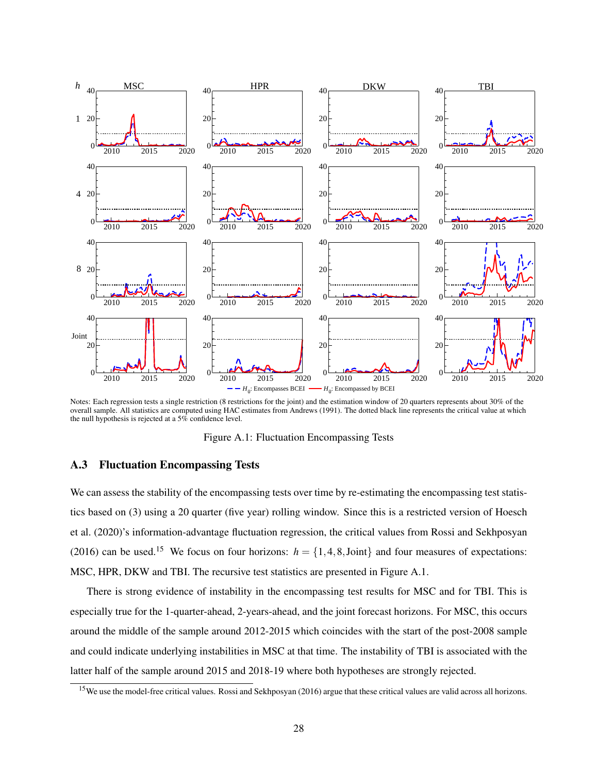

Notes: Each regression tests a single restriction (8 restrictions for the joint) and the estimation window of 20 quarters represents about 30% of the overall sample. All statistics are computed using HAC estimates from Andrews (1991). The dotted black line represents the critical value at which the null hypothesis is rejected at a 5% confidence level.

Figure A.1: Fluctuation Encompassing Tests

#### A.3 Fluctuation Encompassing Tests

We can assess the stability of the encompassing tests over time by re-estimating the encompassing test statistics based on (3) using a 20 quarter (five year) rolling window. Since this is a restricted version of Hoesch et al. (2020)'s information-advantage fluctuation regression, the critical values from Rossi and Sekhposyan (2016) can be used.<sup>15</sup> We focus on four horizons:  $h = \{1, 4, 8,$  Joint} and four measures of expectations: MSC, HPR, DKW and TBI. The recursive test statistics are presented in Figure A.1.

There is strong evidence of instability in the encompassing test results for MSC and for TBI. This is especially true for the 1-quarter-ahead, 2-years-ahead, and the joint forecast horizons. For MSC, this occurs around the middle of the sample around 2012-2015 which coincides with the start of the post-2008 sample and could indicate underlying instabilities in MSC at that time. The instability of TBI is associated with the latter half of the sample around 2015 and 2018-19 where both hypotheses are strongly rejected.

<sup>&</sup>lt;sup>15</sup>We use the model-free critical values. Rossi and Sekhposyan (2016) argue that these critical values are valid across all horizons.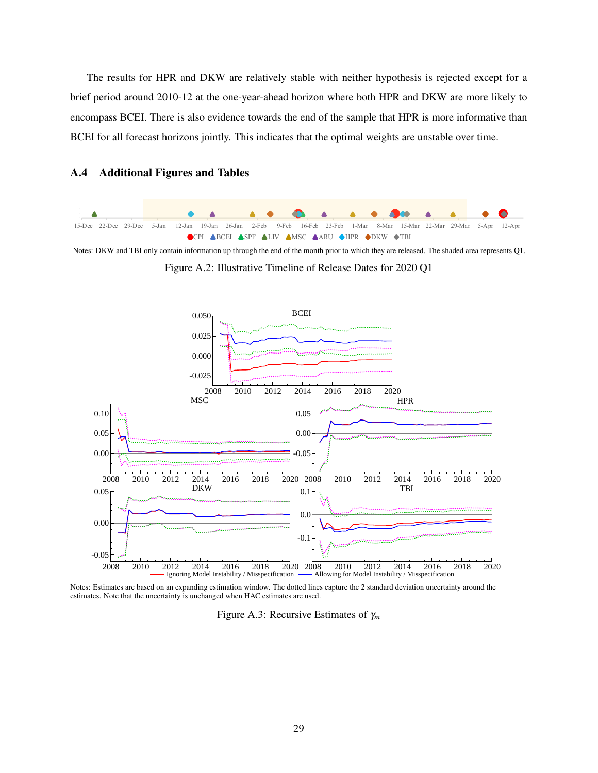The results for HPR and DKW are relatively stable with neither hypothesis is rejected except for a brief period around 2010-12 at the one-year-ahead horizon where both HPR and DKW are more likely to encompass BCEI. There is also evidence towards the end of the sample that HPR is more informative than BCEI for all forecast horizons jointly. This indicates that the optimal weights are unstable over time.



#### A.4 Additional Figures and Tables

Notes: DKW and TBI only contain information up through the end of the month prior to which they are released. The shaded area represents Q1.

Figure A.2: Illustrative Timeline of Release Dates for 2020 Q1



Notes: Estimates are based on an expanding estimation window. The dotted lines capture the 2 standard deviation uncertainty around the estimates. Note that the uncertainty is unchanged when HAC estimates are used.

Figure A.3: Recursive Estimates of γ*<sup>m</sup>*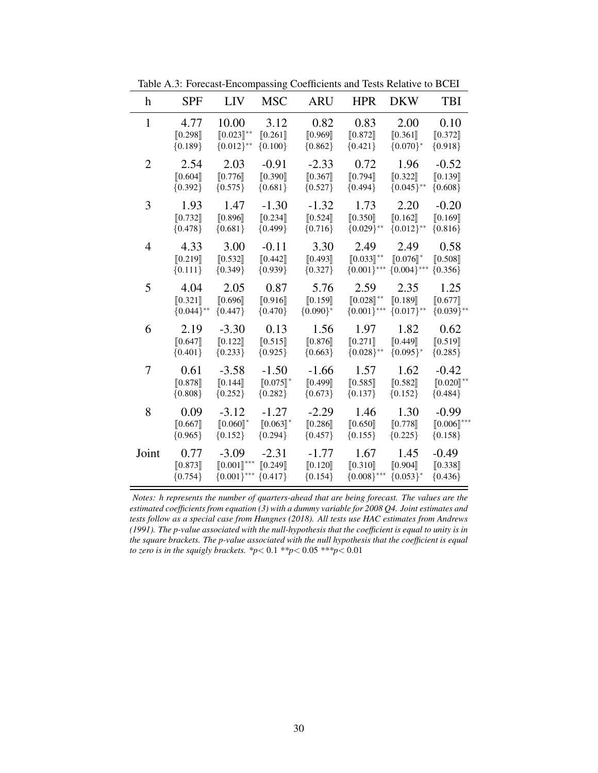| h              | <b>SPF</b>   | <b>LIV</b>                                  | <b>MSC</b>             | <b>ARU</b>  | <b>HPR</b>     | <b>DKW</b>                    | <b>TBI</b>     |
|----------------|--------------|---------------------------------------------|------------------------|-------------|----------------|-------------------------------|----------------|
| $\mathbf{1}$   | 4.77         | 10.00                                       | 3.12                   | 0.82        | 0.83           | 2.00                          | 0.10           |
|                | [0.298]      | $[0.023]^{**}$                              | [0.261]                | [0.969]     | [0.872]        | $\llbracket 0.361 \rrbracket$ | [0.372]        |
|                | ${0.189}$    | ${0.012}$ **                                | ${0.100}$              | ${0.862}$   | ${0.421}$      | ${0.070}^*$                   | ${0.918}$      |
| $\overline{2}$ | 2.54         | 2.03                                        | $-0.91$                | $-2.33$     | 0.72           | 1.96                          | $-0.52$        |
|                | [0.604]      | [0.776]                                     | [0.390]                | [0.367]     | [0.794]        | [0.322]                       | [0.139]        |
|                | ${0.392}$    | ${0.575}$                                   | ${0.681}$              | ${0.527}$   | ${0.494}$      | ${0.045}$ **                  | ${0.608}$      |
| 3              | 1.93         | 1.47                                        | $-1.30$                | $-1.32$     | 1.73           | 2.20                          | $-0.20$        |
|                | [0.732]      | [0.896]                                     | [0.234]                | [0.524]     | [0.350]        | [0.162]                       | [0.169]        |
|                | ${0.478}$    | ${0.681}$                                   | ${0.499}$              | ${0.716}$   | ${0.029}$ **   | ${0.012}$ **                  | ${0.816}$      |
| 4              | 4.33         | 3.00                                        | $-0.11$                | 3.30        | 2.49           | 2.49                          | 0.58           |
|                | [0.219]      | [0.532]                                     | [0.442]                | [0.493]     | $[0.033]^{**}$ | $[0.076]$ *                   | [0.508]        |
|                | ${0.111}$    | ${0.349}$                                   | ${0.939}$              | ${0.327}$   | ${0.001}$ ***  | ${0.004}$ ***                 | ${0.356}$      |
| 5              | 4.04         | 2.05                                        | 0.87                   | 5.76        | 2.59           | 2.35                          | 1.25           |
|                | [0.321]      | [0.696]                                     | [0.916]                | [0.159]     | $[0.028]^{**}$ | [0.189]                       | [0.677]        |
|                | ${0.044}$ ** | ${0.447}$                                   | ${0.470}$              | ${0.090}^*$ | ${0.001}$ ***  | ${0.017}$ **                  | ${0.039}$ **   |
| 6              | 2.19         | $-3.30$                                     | 0.13                   | 1.56        | 1.97           | 1.82                          | 0.62           |
|                | [0.647]      | [0.122]                                     | [0.515]                | [0.876]     | [0.271]        | [0.449]                       | [0.519]        |
|                | ${0.401}$    | ${0.233}$                                   | ${0.925}$              | ${0.663}$   | ${0.028}$ **   | ${0.095}$ *                   | ${0.285}$      |
| 7              | 0.61         | $-3.58$                                     | $-1.50$                | $-1.66$     | 1.57           | 1.62                          | $-0.42$        |
|                | [0.878]      | [0.144]                                     | $[0.075]$ <sup>*</sup> | [0.499]     | [0.585]        | [0.582]                       | $[0.020]^{**}$ |
|                | ${0.808}$    | ${0.252}$                                   | ${0.282}$              | ${0.673}$   | ${0.137}$      | ${0.152}$                     | ${0.484}$      |
| 8              | 0.09         | $-3.12$                                     | $-1.27$                | $-2.29$     | 1.46           | 1.30                          | $-0.99$        |
|                | [0.667]      | $[0.060]$ *                                 | $[0.063]$ *            | [0.286]     | [0.650]        | [0.778]                       | $[0.006]$ ***  |
|                | ${0.965}$    | ${0.152}$                                   | ${0.294}$              | ${0.457}$   | ${0.155}$      | ${0.225}$                     | ${0.158}$      |
| Joint          | 0.77         | $-3.09$                                     | $-2.31$                | $-1.77$     | 1.67           | 1.45                          | $-0.49$        |
|                | [0.873]      | $\left[\!\left[0.001\right]\!\right]^{***}$ | [0.249]                | [0.120]     | [0.310]        | [0.904]                       | [0.338]        |
|                | ${0.754}$    | ${0.001}$ ***                               | ${0.417}$              | ${0.154}$   | ${0.008}$ ***  | ${0.053}^*$                   | ${0.436}$      |

Table A.3: Forecast-Encompassing Coefficients and Tests Relative to BCEI

*Notes: h represents the number of quarters-ahead that are being forecast. The values are the estimated coefficients from equation (3) with a dummy variable for 2008 Q4. Joint estimates and tests follow as a special case from Hungnes (2018). All tests use HAC estimates from Andrews (1991). The p-value associated with the null-hypothesis that the coefficient is equal to unity is in the square brackets. The p-value associated with the null hypothesis that the coefficient is equal to zero is in the squigly brackets. \*p*< 0.1 *\*\*p*< 0.05 *\*\*\*p*< 0.01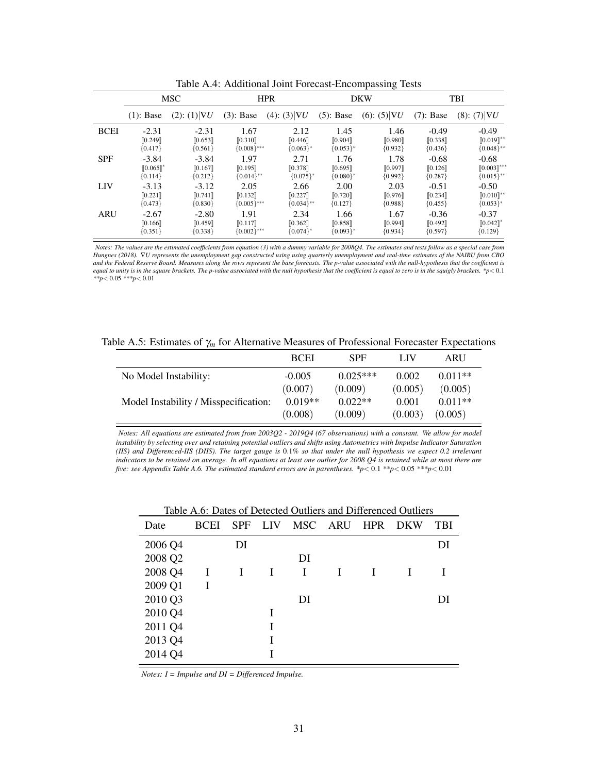|             | <b>MSC</b>   |                      | <b>HPR</b>                    |                        |              | <b>DKW</b>          | <b>TBI</b>   |                        |
|-------------|--------------|----------------------|-------------------------------|------------------------|--------------|---------------------|--------------|------------------------|
|             | $(1)$ : Base | (2): (1) $ \nabla U$ | $(3)$ : Base                  | (4): (3) $ \nabla U$   | $(5)$ : Base | $(6): (5) \nabla U$ | $(7)$ : Base | $(8)$ : $(7) \nabla U$ |
| <b>BCEI</b> | $-2.31$      | $-2.31$              | 1.67                          | 2.12                   | 1.45         | 1.46                | $-0.49$      | $-0.49$                |
|             | [0.249]      | [0.653]              | $\llbracket 0.310 \rrbracket$ | [0.446]                | [0.904]      | [0.980]             | [0.338]      | $[0.019]^{**}$         |
|             | ${0.417}$    | ${0.561}$            | ${0.008}$ ***                 | ${0.063}$              | ${0.053}$ *  | ${0.932}$           | ${0.436}$    | ${0.048}^{**}$         |
| <b>SPF</b>  | $-3.84$      | $-3.84$              | 1.97                          | 2.71                   | 1.76         | 1.78                | $-0.68$      | $-0.68$                |
|             | $[0.065]$ *  | [0.167]              | [0.195]                       | [0.378]                | [0.695]      | [0.997]             | [0.126]      | $[0.003]$ ***          |
|             | ${0.114}$    | ${0.212}$            | ${0.014}$ **                  | ${0.075}$ <sup>*</sup> | ${0.080}^*$  | ${0.992}$           | ${0.287}$    | ${0.015}$ **           |
| LIV         | $-3.13$      | $-3.12$              | 2.05                          | 2.66                   | 2.00         | 2.03                | $-0.51$      | $-0.50$                |
|             | [0.221]      | [0.741]              | [0.132]                       | [0.227]                | [0.720]      | [0.976]             | [0.234]      | $[0.010]^{**}$         |
|             | ${0.473}$    | ${0.830}$            | ${0.005}$ ***                 | ${0.034}$ **           | ${0.127}$    | ${0.988}$           | ${0.455}$    | ${0.053}^*$            |
| <b>ARU</b>  | $-2.67$      | $-2.80$              | 1.91                          | 2.34                   | 1.66         | 1.67                | $-0.36$      | $-0.37$                |
|             | [0.166]      | [0.459]              | [0.117]                       | [0.362]                | [0.858]      | [0.994]             | [0.492]      | $[0.042]$ <sup>*</sup> |
|             | ${0.351}$    | ${0.338}$            | ${0.002}$ ***                 | ${0.074}$ <sup>*</sup> | ${0.093}^*$  | ${0.934}$           | ${0.597}$    | ${0.129}$              |

Table A.4: Additional Joint Forecast-Encompassing Tests

*Notes: The values are the estimated coefficients from equation (3) with a dummy variable for 2008Q4. The estimates and tests follow as a special case from Hungnes (2018).* ∇*U represents the unemployment gap constructed using using quarterly unemployment and real-time estimates of the NAIRU from CBO and the Federal Reserve Board. Measures along the rows represent the base forecasts. The p-value associated with the null-hypothesis that the coefficient is equal to unity is in the square brackets. The p-value associated with the null hypothesis that the coefficient is equal to zero is in the squigly brackets. \*p*< 0.1 *\*\*p*< 0.05 *\*\*\*p*< 0.01

Table A.5: Estimates of γ*<sup>m</sup>* for Alternative Measures of Professional Forecaster Expectations

|                                       | <b>BCEI</b> | <b>SPF</b> | LIV     | ARU       |
|---------------------------------------|-------------|------------|---------|-----------|
| No Model Instability:                 | $-0.005$    | $0.025***$ | 0.002   | $0.011**$ |
|                                       | (0.007)     | (0.009)    | (0.005) | (0.005)   |
| Model Instability / Misspecification: | $0.019**$   | $0.022**$  | 0.001   | $0.011**$ |
|                                       | (0.008)     | (0.009)    | (0.003) | (0.005)   |

*Notes: All equations are estimated from from 2003Q2 - 2019Q4 (67 observations) with a constant. We allow for model instability by selecting over and retaining potential outliers and shifts using Autometrics with Impulse Indicator Saturation (IIS) and Differenced-IIS (DIIS). The target gauge is* 0.1% *so that under the null hypothesis we expect 0.2 irrelevant indicators to be retained on average. In all equations at least one outlier for 2008 Q4 is retained while at most there are five: see Appendix Table A.6. The estimated standard errors are in parentheses. \*p*< 0.1 *\*\*p*< 0.05 *\*\*\*p*< 0.01

| Date    | <b>BCEI</b> | <b>SPF</b> | <b>LIV</b> | MSC ARU | <b>HPR</b> | <b>DKW</b> | <b>TBI</b> |
|---------|-------------|------------|------------|---------|------------|------------|------------|
| 2006 Q4 |             | DI         |            |         |            |            | DI         |
| 2008 Q2 |             |            |            | DI      |            |            |            |
| 2008 Q4 | I           |            |            | I       |            |            |            |
| 2009 Q1 | I           |            |            |         |            |            |            |
| 2010 Q3 |             |            |            | DI      |            |            | DI         |
| 2010 Q4 |             |            |            |         |            |            |            |
| 2011 Q4 |             |            |            |         |            |            |            |
| 2013 Q4 |             |            |            |         |            |            |            |
| 2014 Q4 |             |            |            |         |            |            |            |

Table A.6: Dates of Detected Outliers and Differenced Outliers

*Notes: I = Impulse and DI = Differenced Impulse.*